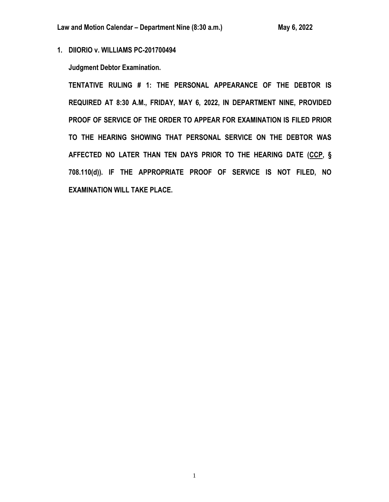**1. DIIORIO v. WILLIAMS PC-201700494**

**Judgment Debtor Examination.**

**TENTATIVE RULING # 1: THE PERSONAL APPEARANCE OF THE DEBTOR IS REQUIRED AT 8:30 A.M., FRIDAY, MAY 6, 2022, IN DEPARTMENT NINE, PROVIDED PROOF OF SERVICE OF THE ORDER TO APPEAR FOR EXAMINATION IS FILED PRIOR TO THE HEARING SHOWING THAT PERSONAL SERVICE ON THE DEBTOR WAS AFFECTED NO LATER THAN TEN DAYS PRIOR TO THE HEARING DATE (CCP, § 708.110(d)). IF THE APPROPRIATE PROOF OF SERVICE IS NOT FILED, NO EXAMINATION WILL TAKE PLACE.**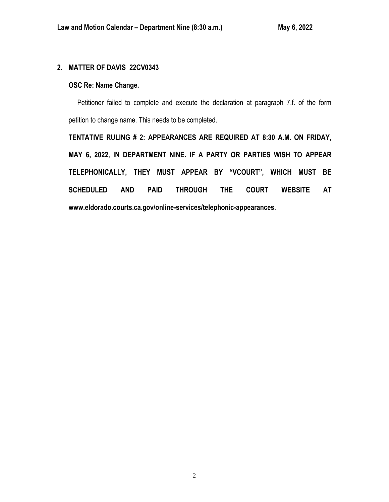## **2. MATTER OF DAVIS 22CV0343**

## **OSC Re: Name Change.**

 Petitioner failed to complete and execute the declaration at paragraph 7.f. of the form petition to change name. This needs to be completed.

**TENTATIVE RULING # 2: APPEARANCES ARE REQUIRED AT 8:30 A.M. ON FRIDAY, MAY 6, 2022, IN DEPARTMENT NINE. IF A PARTY OR PARTIES WISH TO APPEAR TELEPHONICALLY, THEY MUST APPEAR BY "VCOURT", WHICH MUST BE SCHEDULED AND PAID THROUGH THE COURT WEBSITE AT www.eldorado.courts.ca.gov/online-services/telephonic-appearances.**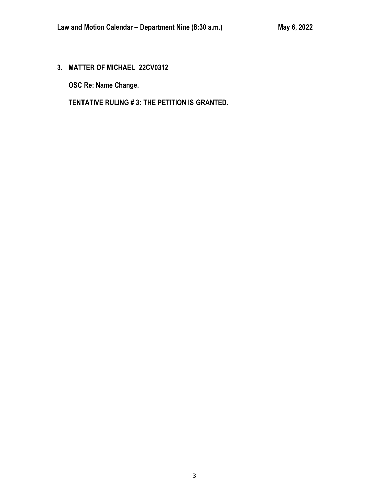**3. MATTER OF MICHAEL 22CV0312**

**OSC Re: Name Change.**

**TENTATIVE RULING # 3: THE PETITION IS GRANTED.**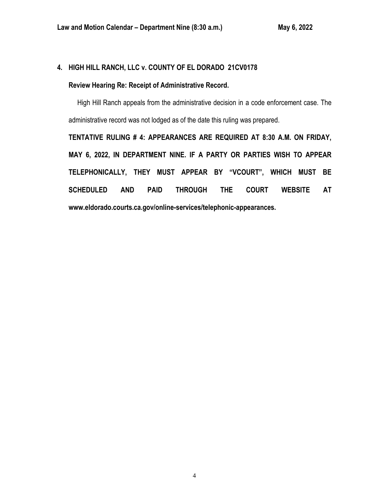# **4. HIGH HILL RANCH, LLC v. COUNTY OF EL DORADO 21CV0178**

## **Review Hearing Re: Receipt of Administrative Record.**

 High Hill Ranch appeals from the administrative decision in a code enforcement case. The administrative record was not lodged as of the date this ruling was prepared.

**TENTATIVE RULING # 4: APPEARANCES ARE REQUIRED AT 8:30 A.M. ON FRIDAY, MAY 6, 2022, IN DEPARTMENT NINE. IF A PARTY OR PARTIES WISH TO APPEAR TELEPHONICALLY, THEY MUST APPEAR BY "VCOURT", WHICH MUST BE SCHEDULED AND PAID THROUGH THE COURT WEBSITE AT www.eldorado.courts.ca.gov/online-services/telephonic-appearances.**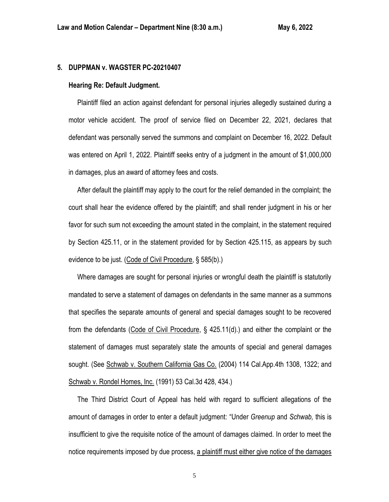## **5. DUPPMAN v. WAGSTER PC-20210407**

## **Hearing Re: Default Judgment.**

 Plaintiff filed an action against defendant for personal injuries allegedly sustained during a motor vehicle accident. The proof of service filed on December 22, 2021, declares that defendant was personally served the summons and complaint on December 16, 2022. Default was entered on April 1, 2022. Plaintiff seeks entry of a judgment in the amount of \$1,000,000 in damages, plus an award of attorney fees and costs.

 After default the plaintiff may apply to the court for the relief demanded in the complaint; the court shall hear the evidence offered by the plaintiff; and shall render judgment in his or her favor for such sum not exceeding the amount stated in the complaint, in the statement required by Section 425.11, or in the statement provided for by Section 425.115, as appears by such evidence to be just. (Code of Civil Procedure, § 585(b).)

 Where damages are sought for personal injuries or wrongful death the plaintiff is statutorily mandated to serve a statement of damages on defendants in the same manner as a summons that specifies the separate amounts of general and special damages sought to be recovered from the defendants (Code of Civil Procedure, § 425.11(d).) and either the complaint or the statement of damages must separately state the amounts of special and general damages sought. (See Schwab v. Southern California Gas Co. (2004) 114 Cal App.4th 1308, 1322; and Schwab v. Rondel Homes, Inc. (1991) 53 Cal.3d 428, 434.)

 The Third District Court of Appeal has held with regard to sufficient allegations of the amount of damages in order to enter a default judgment: "Under *Greenup* and *Schwab,* this is insufficient to give the requisite notice of the amount of damages claimed. In order to meet the notice requirements imposed by due process, a plaintiff must either give notice of the damages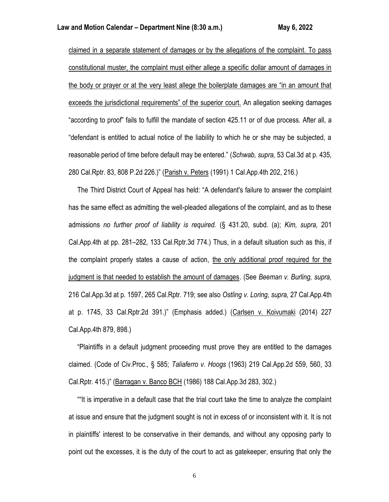claimed in a separate statement of damages or by the allegations of the complaint. To pass constitutional muster, the complaint must either allege a specific dollar amount of damages in the body or prayer or at the very least allege the boilerplate damages are "in an amount that exceeds the jurisdictional requirements" of the superior court. An allegation seeking damages "according to proof" fails to fulfill the mandate of section 425.11 or of due process. After all, a "defendant is entitled to actual notice of the liability to which he or she may be subjected, a reasonable period of time before default may be entered." (*Schwab, supra,* 53 Cal.3d at p. 435, 280 Cal.Rptr. 83, 808 P.2d 226.)" (Parish v. Peters (1991) 1 Cal.App.4th 202, 216.)

 The Third District Court of Appeal has held: "A defendant's failure to answer the complaint has the same effect as admitting the well-pleaded allegations of the complaint, and as to these admissions *no further proof of liability is required.* (§ 431.20, subd. (a); *Kim, supra,* 201 Cal.App.4th at pp. 281–282, 133 Cal.Rptr.3d 774.) Thus, in a default situation such as this, if the complaint properly states a cause of action, the only additional proof required for the judgment is that needed to establish the amount of damages. (See *Beeman v. Burling, supra,* 216 Cal.App.3d at p. 1597, 265 Cal.Rptr. 719; see also *Ostling v. Loring, supra,* 27 Cal.App.4th at p. 1745, 33 Cal.Rptr.2d 391.)" (Emphasis added.) (Carlsen v. Koivumaki (2014) 227 Cal.App.4th 879, 898.)

 "Plaintiffs in a default judgment proceeding must prove they are entitled to the damages claimed. (Code of Civ.Proc., § 585; *Taliaferro v. Hoogs* (1963) 219 Cal.App.2d 559, 560, 33 Cal.Rptr. 415.)" (Barragan v. Banco BCH (1986) 188 Cal.App.3d 283, 302.)

 ""It is imperative in a default case that the trial court take the time to analyze the complaint at issue and ensure that the judgment sought is not in excess of or inconsistent with it. It is not in plaintiffs' interest to be conservative in their demands, and without any opposing party to point out the excesses, it is the duty of the court to act as gatekeeper, ensuring that only the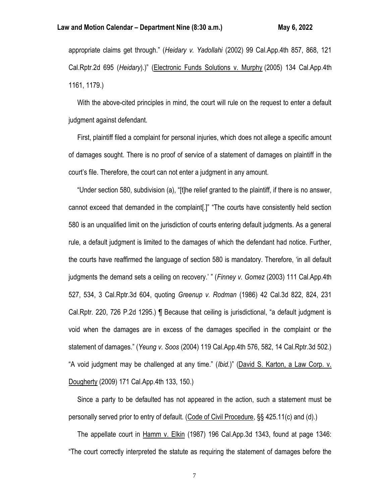appropriate claims get through." (*Heidary v. Yadollahi* (2002) 99 Cal.App.4th 857, 868, 121 Cal.Rptr.2d 695 (*Heidary*).)" (Electronic Funds Solutions v. Murphy (2005) 134 Cal.App.4th 1161, 1179.)

 With the above-cited principles in mind, the court will rule on the request to enter a default judgment against defendant.

 First, plaintiff filed a complaint for personal injuries, which does not allege a specific amount of damages sought. There is no proof of service of a statement of damages on plaintiff in the court's file. Therefore, the court can not enter a judgment in any amount.

 "Under section 580, subdivision (a), "[t]he relief granted to the plaintiff, if there is no answer, cannot exceed that demanded in the complaint[.]" "The courts have consistently held section 580 is an unqualified limit on the jurisdiction of courts entering default judgments. As a general rule, a default judgment is limited to the damages of which the defendant had notice. Further, the courts have reaffirmed the language of section 580 is mandatory. Therefore, 'in all default judgments the demand sets a ceiling on recovery.' " (*Finney v. Gomez* (2003) 111 Cal.App.4th 527, 534, 3 Cal.Rptr.3d 604, quoting *Greenup v. Rodman* (1986) 42 Cal.3d 822, 824, 231 Cal.Rptr. 220, 726 P.2d 1295.) ¶ Because that ceiling is jurisdictional, "a default judgment is void when the damages are in excess of the damages specified in the complaint or the statement of damages." (*Yeung v. Soos* (2004) 119 Cal.App.4th 576, 582, 14 Cal.Rptr.3d 502.) "A void judgment may be challenged at any time." (*Ibid.*)" (David S. Karton, a Law Corp. v. Dougherty (2009) 171 Cal.App.4th 133, 150.)

 Since a party to be defaulted has not appeared in the action, such a statement must be personally served prior to entry of default. (Code of Civil Procedure, §§ 425.11(c) and (d).)

 The appellate court in Hamm v. Elkin (1987) 196 Cal.App.3d 1343, found at page 1346: "The court correctly interpreted the statute as requiring the statement of damages before the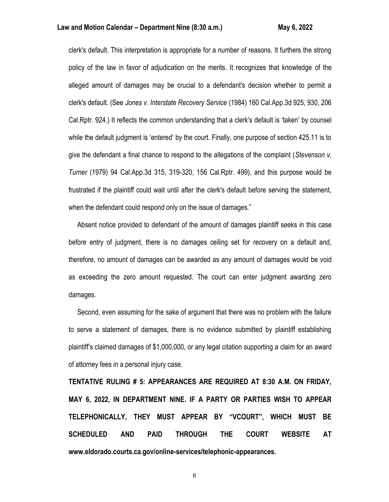clerk's default. This interpretation is appropriate for a number of reasons. It furthers the strong policy of the law in favor of adjudication on the merits. It recognizes that knowledge of the alleged amount of damages may be crucial to a defendant's decision whether to permit a clerk's default. (See *Jones v. Interstate Recovery Service* (1984) 160 Cal.App.3d 925, 930, 206 Cal.Rptr. 924.) It reflects the common understanding that a clerk's default is 'taken' by counsel while the default judgment is 'entered' by the court. Finally, one purpose of section 425.11 is to give the defendant a final chance to respond to the allegations of the complaint (*Stevenson v. Turner* (1979) 94 Cal.App.3d 315, 319-320, 156 Cal.Rptr. 499), and this purpose would be frustrated if the plaintiff could wait until after the clerk's default before serving the statement, when the defendant could respond only on the issue of damages."

 Absent notice provided to defendant of the amount of damages plaintiff seeks in this case before entry of judgment, there is no damages ceiling set for recovery on a default and, therefore, no amount of damages can be awarded as any amount of damages would be void as exceeding the zero amount requested. The court can enter judgment awarding zero damages.

 Second, even assuming for the sake of argument that there was no problem with the failure to serve a statement of damages, there is no evidence submitted by plaintiff establishing plaintiff's claimed damages of \$1,000,000, or any legal citation supporting a claim for an award of attorney fees in a personal injury case.

**TENTATIVE RULING # 5: APPEARANCES ARE REQUIRED AT 8:30 A.M. ON FRIDAY, MAY 6, 2022, IN DEPARTMENT NINE. IF A PARTY OR PARTIES WISH TO APPEAR TELEPHONICALLY, THEY MUST APPEAR BY "VCOURT", WHICH MUST BE SCHEDULED AND PAID THROUGH THE COURT WEBSITE AT www.eldorado.courts.ca.gov/online-services/telephonic-appearances.**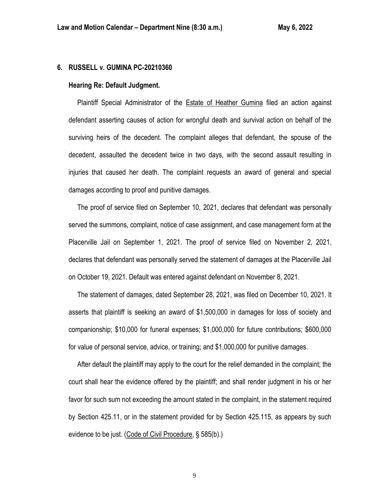## **6. RUSSELL v. GUMINA PC-20210360**

## **Hearing Re: Default Judgment.**

 Plaintiff Special Administrator of the Estate of Heather Gumina filed an action against defendant asserting causes of action for wrongful death and survival action on behalf of the surviving heirs of the decedent. The complaint alleges that defendant, the spouse of the decedent, assaulted the decedent twice in two days, with the second assault resulting in injuries that caused her death. The complaint requests an award of general and special damages according to proof and punitive damages.

 The proof of service filed on September 10, 2021, declares that defendant was personally served the summons, complaint, notice of case assignment, and case management form at the Placerville Jail on September 1, 2021. The proof of service filed on November 2, 2021, declares that defendant was personally served the statement of damages at the Placerville Jail on October 19, 2021. Default was entered against defendant on November 8, 2021.

 The statement of damages, dated September 28, 2021, was filed on December 10, 2021. It asserts that plaintiff is seeking an award of \$1,500,000 in damages for loss of society and companionship; \$10,000 for funeral expenses; \$1,000,000 for future contributions; \$600,000 for value of personal service, advice, or training; and \$1,000,000 for punitive damages.

 After default the plaintiff may apply to the court for the relief demanded in the complaint; the court shall hear the evidence offered by the plaintiff; and shall render judgment in his or her favor for such sum not exceeding the amount stated in the complaint, in the statement required by Section 425.11, or in the statement provided for by Section 425.115, as appears by such evidence to be just. (Code of Civil Procedure, § 585(b).)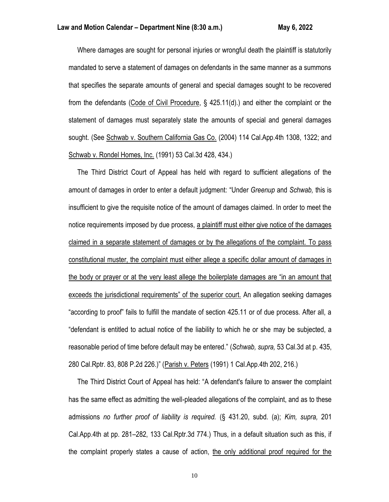Where damages are sought for personal injuries or wrongful death the plaintiff is statutorily mandated to serve a statement of damages on defendants in the same manner as a summons that specifies the separate amounts of general and special damages sought to be recovered from the defendants (Code of Civil Procedure, § 425.11(d).) and either the complaint or the statement of damages must separately state the amounts of special and general damages sought. (See Schwab v. Southern California Gas Co. (2004) 114 Cal.App.4th 1308, 1322; and Schwab v. Rondel Homes, Inc. (1991) 53 Cal.3d 428, 434.)

 The Third District Court of Appeal has held with regard to sufficient allegations of the amount of damages in order to enter a default judgment: "Under *Greenup* and *Schwab,* this is insufficient to give the requisite notice of the amount of damages claimed. In order to meet the notice requirements imposed by due process, a plaintiff must either give notice of the damages claimed in a separate statement of damages or by the allegations of the complaint. To pass constitutional muster, the complaint must either allege a specific dollar amount of damages in the body or prayer or at the very least allege the boilerplate damages are "in an amount that exceeds the jurisdictional requirements" of the superior court. An allegation seeking damages "according to proof" fails to fulfill the mandate of section 425.11 or of due process. After all, a "defendant is entitled to actual notice of the liability to which he or she may be subjected, a reasonable period of time before default may be entered." (*Schwab, supra,* 53 Cal.3d at p. 435, 280 Cal.Rptr. 83, 808 P.2d 226.)" (Parish v. Peters (1991) 1 Cal.App.4th 202, 216.)

 The Third District Court of Appeal has held: "A defendant's failure to answer the complaint has the same effect as admitting the well-pleaded allegations of the complaint, and as to these admissions *no further proof of liability is required.* (§ 431.20, subd. (a); *Kim, supra,* 201 Cal.App.4th at pp. 281–282, 133 Cal.Rptr.3d 774.) Thus, in a default situation such as this, if the complaint properly states a cause of action, the only additional proof required for the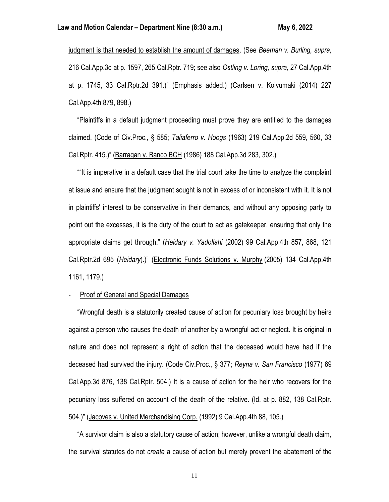judgment is that needed to establish the amount of damages. (See *Beeman v. Burling, supra,* 216 Cal.App.3d at p. 1597, 265 Cal.Rptr. 719; see also *Ostling v. Loring, supra,* 27 Cal.App.4th at p. 1745, 33 Cal.Rptr.2d 391.)" (Emphasis added.) (Carlsen v. Koivumaki (2014) 227 Cal.App.4th 879, 898.)

 "Plaintiffs in a default judgment proceeding must prove they are entitled to the damages claimed. (Code of Civ.Proc., § 585; *Taliaferro v. Hoogs* (1963) 219 Cal.App.2d 559, 560, 33 Cal.Rptr. 415.)" (Barragan v. Banco BCH (1986) 188 Cal.App.3d 283, 302.)

 ""It is imperative in a default case that the trial court take the time to analyze the complaint at issue and ensure that the judgment sought is not in excess of or inconsistent with it. It is not in plaintiffs' interest to be conservative in their demands, and without any opposing party to point out the excesses, it is the duty of the court to act as gatekeeper, ensuring that only the appropriate claims get through." (*Heidary v. Yadollahi* (2002) 99 Cal.App.4th 857, 868, 121 Cal.Rptr.2d 695 (*Heidary*).)" (Electronic Funds Solutions v. Murphy (2005) 134 Cal.App.4th 1161, 1179.)

## Proof of General and Special Damages

 "Wrongful death is a statutorily created cause of action for pecuniary loss brought by heirs against a person who causes the death of another by a wrongful act or neglect. It is original in nature and does not represent a right of action that the deceased would have had if the deceased had survived the injury. (Code Civ.Proc., § 377; *Reyna v. San Francisco* (1977) 69 Cal.App.3d 876, 138 Cal.Rptr. 504.) It is a cause of action for the heir who recovers for the pecuniary loss suffered on account of the death of the relative. (Id. at p. 882, 138 Cal.Rptr. 504.)" (Jacoves v. United Merchandising Corp. (1992) 9 Cal.App.4th 88, 105.)

 "A survivor claim is also a statutory cause of action; however, unlike a wrongful death claim, the survival statutes do not *create* a cause of action but merely prevent the abatement of the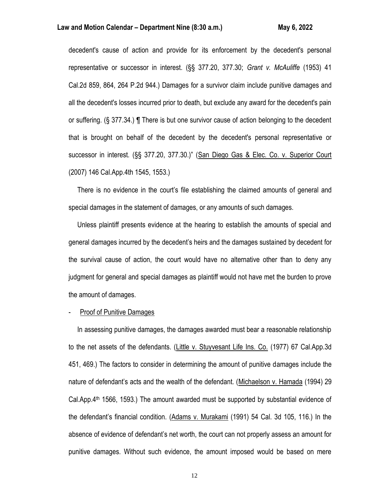## Law and Motion Calendar – Department Nine (8:30 a.m.) May 6, 2022

decedent's cause of action and provide for its enforcement by the decedent's personal representative or successor in interest. (§§ 377.20, 377.30; *Grant v. McAuliffe* (1953) 41 Cal.2d 859, 864, 264 P.2d 944.) Damages for a survivor claim include punitive damages and all the decedent's losses incurred prior to death, but exclude any award for the decedent's pain or suffering. (§ 377.34.) ¶ There is but one survivor cause of action belonging to the decedent that is brought on behalf of the decedent by the decedent's personal representative or successor in interest. (§§ 377.20, 377.30.)" (San Diego Gas & Elec. Co. v. Superior Court (2007) 146 Cal.App.4th 1545, 1553.)

 There is no evidence in the court's file establishing the claimed amounts of general and special damages in the statement of damages, or any amounts of such damages.

 Unless plaintiff presents evidence at the hearing to establish the amounts of special and general damages incurred by the decedent's heirs and the damages sustained by decedent for the survival cause of action, the court would have no alternative other than to deny any judgment for general and special damages as plaintiff would not have met the burden to prove the amount of damages.

## Proof of Punitive Damages

 In assessing punitive damages, the damages awarded must bear a reasonable relationship to the net assets of the defendants. (Little v. Stuyvesant Life Ins. Co. (1977) 67 Cal.App.3d 451, 469.) The factors to consider in determining the amount of punitive damages include the nature of defendant's acts and the wealth of the defendant. (Michaelson v. Hamada (1994) 29 Cal.App. $4<sup>th</sup>$  1566, 1593.) The amount awarded must be supported by substantial evidence of the defendant's financial condition. (Adams v. Murakami (1991) 54 Cal. 3d 105, 116.) In the absence of evidence of defendant's net worth, the court can not properly assess an amount for punitive damages. Without such evidence, the amount imposed would be based on mere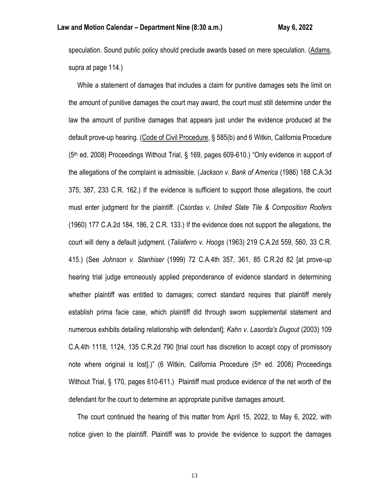speculation. Sound public policy should preclude awards based on mere speculation. (Adams, supra at page 114.)

 While a statement of damages that includes a claim for punitive damages sets the limit on the amount of punitive damages the court may award, the court must still determine under the law the amount of punitive damages that appears just under the evidence produced at the default prove-up hearing. (Code of Civil Procedure, § 585(b) and 6 Witkin, California Procedure (5th ed. 2008) Proceedings Without Trial, § 169, pages 609-610.) "Only evidence in support of the allegations of the complaint is admissible. (*Jackson v. Bank of America* (1986) 188 C.A.3d 375, 387, 233 C.R. 162.) If the evidence is sufficient to support those allegations, the court must enter judgment for the plaintiff. (*Csordas v. United Slate Tile & Composition Roofers* (1960) 177 C.A.2d 184, 186, 2 C.R. 133.) If the evidence does not support the allegations, the court will deny a default judgment. (*Taliaferro v. Hoogs* (1963) 219 C.A.2d 559, 560, 33 C.R. 415.) (See *Johnson v. Stanhiser* (1999) 72 C.A.4th 357, 361, 85 C.R.2d 82 [at prove-up hearing trial judge erroneously applied preponderance of evidence standard in determining whether plaintiff was entitled to damages; correct standard requires that plaintiff merely establish prima facie case, which plaintiff did through sworn supplemental statement and numerous exhibits detailing relationship with defendant]; *Kahn v. Lasorda's Dugout* (2003) 109 C.A.4th 1118, 1124, 135 C.R.2d 790 [trial court has discretion to accept copy of promissory note where original is lost[.)" (6 Witkin, California Procedure  $(5<sup>th</sup>$  ed. 2008) Proceedings Without Trial, § 170, pages 610-611.) Plaintiff must produce evidence of the net worth of the defendant for the court to determine an appropriate punitive damages amount.

 The court continued the hearing of this matter from April 15, 2022, to May 6, 2022, with notice given to the plaintiff. Plaintiff was to provide the evidence to support the damages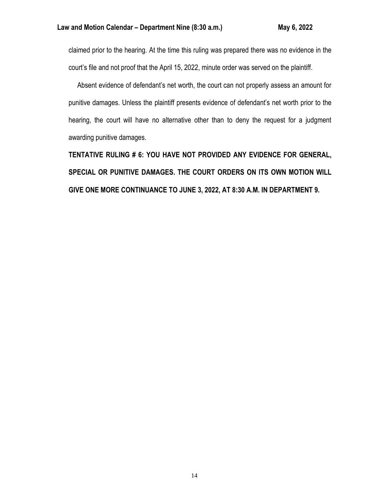claimed prior to the hearing. At the time this ruling was prepared there was no evidence in the court's file and not proof that the April 15, 2022, minute order was served on the plaintiff.

 Absent evidence of defendant's net worth, the court can not properly assess an amount for punitive damages. Unless the plaintiff presents evidence of defendant's net worth prior to the hearing, the court will have no alternative other than to deny the request for a judgment awarding punitive damages.

**TENTATIVE RULING # 6: YOU HAVE NOT PROVIDED ANY EVIDENCE FOR GENERAL, SPECIAL OR PUNITIVE DAMAGES. THE COURT ORDERS ON ITS OWN MOTION WILL GIVE ONE MORE CONTINUANCE TO JUNE 3, 2022, AT 8:30 A.M. IN DEPARTMENT 9.**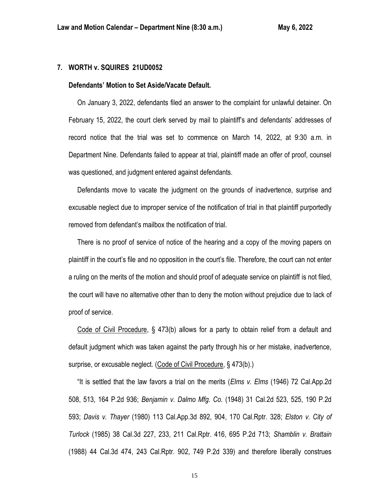## **7. WORTH v. SQUIRES 21UD0052**

## **Defendants' Motion to Set Aside/Vacate Default.**

 On January 3, 2022, defendants filed an answer to the complaint for unlawful detainer. On February 15, 2022, the court clerk served by mail to plaintiff's and defendants' addresses of record notice that the trial was set to commence on March 14, 2022, at 9:30 a.m. in Department Nine. Defendants failed to appear at trial, plaintiff made an offer of proof, counsel was questioned, and judgment entered against defendants.

 Defendants move to vacate the judgment on the grounds of inadvertence, surprise and excusable neglect due to improper service of the notification of trial in that plaintiff purportedly removed from defendant's mailbox the notification of trial.

 There is no proof of service of notice of the hearing and a copy of the moving papers on plaintiff in the court's file and no opposition in the court's file. Therefore, the court can not enter a ruling on the merits of the motion and should proof of adequate service on plaintiff is not filed, the court will have no alternative other than to deny the motion without prejudice due to lack of proof of service.

 Code of Civil Procedure, § 473(b) allows for a party to obtain relief from a default and default judgment which was taken against the party through his or her mistake, inadvertence, surprise, or excusable neglect. (Code of Civil Procedure, § 473(b).)

 "It is settled that the law favors a trial on the merits (*Elms v. Elms* (1946) 72 Cal.App.2d 508, 513, 164 P.2d 936; *Benjamin v. Dalmo Mfg. Co.* (1948) 31 Cal.2d 523, 525, 190 P.2d 593; *Davis v. Thayer* (1980) 113 Cal.App.3d 892, 904, 170 Cal.Rptr. 328; *Elston v. City of Turlock* (1985) 38 Cal.3d 227, 233, 211 Cal.Rptr. 416, 695 P.2d 713; *Shamblin v. Brattain* (1988) 44 Cal.3d 474, 243 Cal.Rptr. 902, 749 P.2d 339) and therefore liberally construes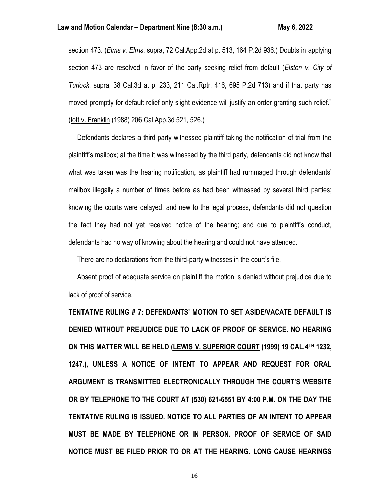section 473. (*Elms v. Elms*, supra, 72 Cal.App.2d at p. 513, 164 P.2d 936.) Doubts in applying section 473 are resolved in favor of the party seeking relief from default (*Elston v. City of Turlock*, supra, 38 Cal.3d at p. 233, 211 Cal.Rptr. 416, 695 P.2d 713) and if that party has moved promptly for default relief only slight evidence will justify an order granting such relief." (Iott v. Franklin (1988) 206 Cal.App.3d 521, 526.)

 Defendants declares a third party witnessed plaintiff taking the notification of trial from the plaintiff's mailbox; at the time it was witnessed by the third party, defendants did not know that what was taken was the hearing notification, as plaintiff had rummaged through defendants' mailbox illegally a number of times before as had been witnessed by several third parties; knowing the courts were delayed, and new to the legal process, defendants did not question the fact they had not yet received notice of the hearing; and due to plaintiff's conduct, defendants had no way of knowing about the hearing and could not have attended.

There are no declarations from the third-party witnesses in the court's file.

 Absent proof of adequate service on plaintiff the motion is denied without prejudice due to lack of proof of service.

**TENTATIVE RULING # 7: DEFENDANTS' MOTION TO SET ASIDE/VACATE DEFAULT IS DENIED WITHOUT PREJUDICE DUE TO LACK OF PROOF OF SERVICE. NO HEARING ON THIS MATTER WILL BE HELD (LEWIS V. SUPERIOR COURT (1999) 19 CAL.4TH 1232, 1247.), UNLESS A NOTICE OF INTENT TO APPEAR AND REQUEST FOR ORAL ARGUMENT IS TRANSMITTED ELECTRONICALLY THROUGH THE COURT'S WEBSITE OR BY TELEPHONE TO THE COURT AT (530) 621-6551 BY 4:00 P.M. ON THE DAY THE TENTATIVE RULING IS ISSUED. NOTICE TO ALL PARTIES OF AN INTENT TO APPEAR MUST BE MADE BY TELEPHONE OR IN PERSON. PROOF OF SERVICE OF SAID NOTICE MUST BE FILED PRIOR TO OR AT THE HEARING. LONG CAUSE HEARINGS**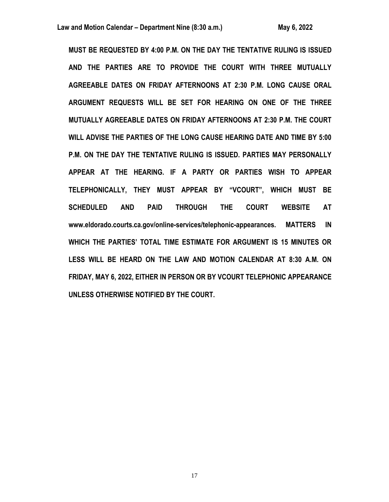**MUST BE REQUESTED BY 4:00 P.M. ON THE DAY THE TENTATIVE RULING IS ISSUED AND THE PARTIES ARE TO PROVIDE THE COURT WITH THREE MUTUALLY AGREEABLE DATES ON FRIDAY AFTERNOONS AT 2:30 P.M. LONG CAUSE ORAL ARGUMENT REQUESTS WILL BE SET FOR HEARING ON ONE OF THE THREE MUTUALLY AGREEABLE DATES ON FRIDAY AFTERNOONS AT 2:30 P.M. THE COURT WILL ADVISE THE PARTIES OF THE LONG CAUSE HEARING DATE AND TIME BY 5:00 P.M. ON THE DAY THE TENTATIVE RULING IS ISSUED. PARTIES MAY PERSONALLY APPEAR AT THE HEARING. IF A PARTY OR PARTIES WISH TO APPEAR TELEPHONICALLY, THEY MUST APPEAR BY "VCOURT", WHICH MUST BE SCHEDULED AND PAID THROUGH THE COURT WEBSITE AT www.eldorado.courts.ca.gov/online-services/telephonic-appearances. MATTERS IN WHICH THE PARTIES' TOTAL TIME ESTIMATE FOR ARGUMENT IS 15 MINUTES OR LESS WILL BE HEARD ON THE LAW AND MOTION CALENDAR AT 8:30 A.M. ON FRIDAY, MAY 6, 2022, EITHER IN PERSON OR BY VCOURT TELEPHONIC APPEARANCE UNLESS OTHERWISE NOTIFIED BY THE COURT.**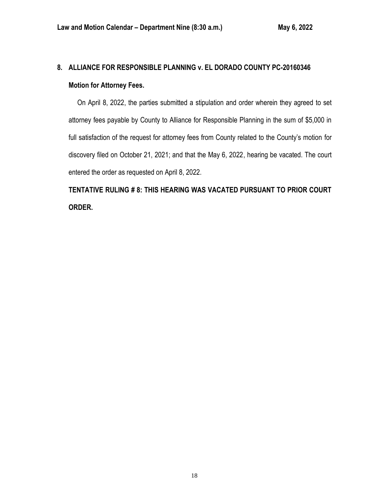# **8. ALLIANCE FOR RESPONSIBLE PLANNING v. EL DORADO COUNTY PC-20160346 Motion for Attorney Fees.**

 On April 8, 2022, the parties submitted a stipulation and order wherein they agreed to set attorney fees payable by County to Alliance for Responsible Planning in the sum of \$5,000 in full satisfaction of the request for attorney fees from County related to the County's motion for discovery filed on October 21, 2021; and that the May 6, 2022, hearing be vacated. The court entered the order as requested on April 8, 2022.

**TENTATIVE RULING # 8: THIS HEARING WAS VACATED PURSUANT TO PRIOR COURT ORDER.**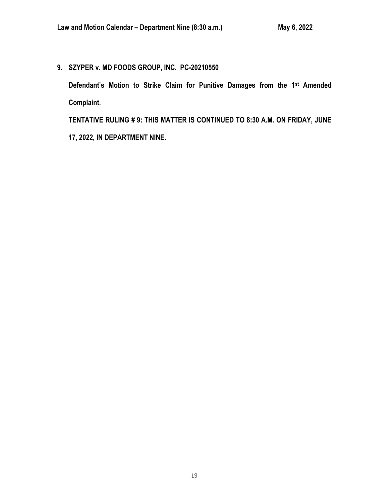**9. SZYPER v. MD FOODS GROUP, INC. PC-20210550**

**Defendant's Motion to Strike Claim for Punitive Damages from the 1st Amended Complaint.**

**TENTATIVE RULING # 9: THIS MATTER IS CONTINUED TO 8:30 A.M. ON FRIDAY, JUNE 17, 2022, IN DEPARTMENT NINE.**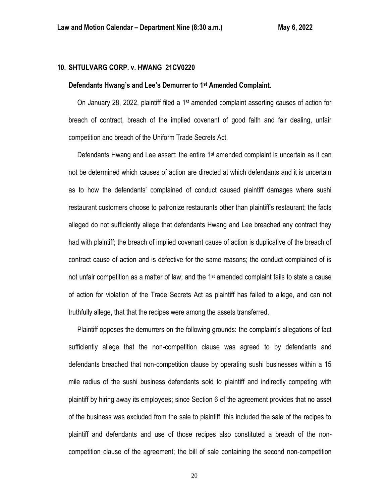## **10. SHTULVARG CORP. v. HWANG 21CV0220**

### **Defendants Hwang's and Lee's Demurrer to 1st Amended Complaint.**

 On January 28, 2022, plaintiff filed a 1st amended complaint asserting causes of action for breach of contract, breach of the implied covenant of good faith and fair dealing, unfair competition and breach of the Uniform Trade Secrets Act.

Defendants Hwang and Lee assert: the entire  $1<sup>st</sup>$  amended complaint is uncertain as it can not be determined which causes of action are directed at which defendants and it is uncertain as to how the defendants' complained of conduct caused plaintiff damages where sushi restaurant customers choose to patronize restaurants other than plaintiff's restaurant; the facts alleged do not sufficiently allege that defendants Hwang and Lee breached any contract they had with plaintiff; the breach of implied covenant cause of action is duplicative of the breach of contract cause of action and is defective for the same reasons; the conduct complained of is not unfair competition as a matter of law; and the 1<sup>st</sup> amended complaint fails to state a cause of action for violation of the Trade Secrets Act as plaintiff has failed to allege, and can not truthfully allege, that that the recipes were among the assets transferred.

 Plaintiff opposes the demurrers on the following grounds: the complaint's allegations of fact sufficiently allege that the non-competition clause was agreed to by defendants and defendants breached that non-competition clause by operating sushi businesses within a 15 mile radius of the sushi business defendants sold to plaintiff and indirectly competing with plaintiff by hiring away its employees; since Section 6 of the agreement provides that no asset of the business was excluded from the sale to plaintiff, this included the sale of the recipes to plaintiff and defendants and use of those recipes also constituted a breach of the noncompetition clause of the agreement; the bill of sale containing the second non-competition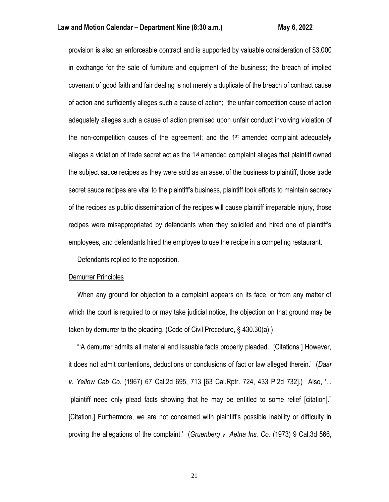## **Law and Motion Calendar – Department Nine (8:30 a.m.) May 6, 2022**

provision is also an enforceable contract and is supported by valuable consideration of \$3,000 in exchange for the sale of furniture and equipment of the business; the breach of implied covenant of good faith and fair dealing is not merely a duplicate of the breach of contract cause of action and sufficiently alleges such a cause of action; the unfair competition cause of action adequately alleges such a cause of action premised upon unfair conduct involving violation of the non-competition causes of the agreement; and the  $1<sup>st</sup>$  amended complaint adequately alleges a violation of trade secret act as the 1st amended complaint alleges that plaintiff owned the subject sauce recipes as they were sold as an asset of the business to plaintiff, those trade secret sauce recipes are vital to the plaintiff's business, plaintiff took efforts to maintain secrecy of the recipes as public dissemination of the recipes will cause plaintiff irreparable injury, those recipes were misappropriated by defendants when they solicited and hired one of plaintiff's employees, and defendants hired the employee to use the recipe in a competing restaurant.

Defendants replied to the opposition.

## Demurrer Principles

 When any ground for objection to a complaint appears on its face, or from any matter of which the court is required to or may take judicial notice, the objection on that ground may be taken by demurrer to the pleading. (Code of Civil Procedure, § 430.30(a).)

 "'A demurrer admits all material and issuable facts properly pleaded. [Citations.] However, it does not admit contentions, deductions or conclusions of fact or law alleged therein.' (*Daar v. Yellow Cab Co.* (1967) 67 Cal.2d 695, 713 [63 Cal.Rptr. 724, 433 P.2d 732].) Also, '... "plaintiff need only plead facts showing that he may be entitled to some relief [citation]." [Citation.] Furthermore, we are not concerned with plaintiff's possible inability or difficulty in proving the allegations of the complaint.' (*Gruenberg v. Aetna Ins. Co.* (1973) 9 Cal.3d 566,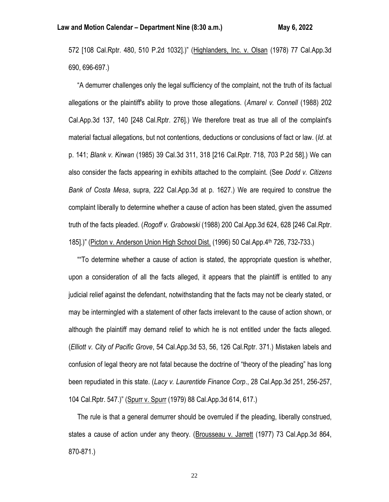572 [108 Cal.Rptr. 480, 510 P.2d 1032].)" (Highlanders, Inc. v. Olsan (1978) 77 Cal.App.3d 690, 696-697.)

 "A demurrer challenges only the legal sufficiency of the complaint, not the truth of its factual allegations or the plaintiff's ability to prove those allegations. (*Amarel v. Connell* (1988) 202 Cal.App.3d 137, 140 [248 Cal.Rptr. 276].) We therefore treat as true all of the complaint's material factual allegations, but not contentions, deductions or conclusions of fact or law. (*Id*. at p. 141; *Blank v. Kirwan* (1985) 39 Cal.3d 311, 318 [216 Cal.Rptr. 718, 703 P.2d 58].) We can also consider the facts appearing in exhibits attached to the complaint. (See *Dodd v. Citizens Bank of Costa Mesa*, supra, 222 Cal.App.3d at p. 1627.) We are required to construe the complaint liberally to determine whether a cause of action has been stated, given the assumed truth of the facts pleaded. (*Rogoff v. Grabowski* (1988) 200 Cal.App.3d 624, 628 [246 Cal.Rptr. 185].)" (Picton v. Anderson Union High School Dist. (1996) 50 Cal.App.4th 726, 732-733.)

 ""To determine whether a cause of action is stated, the appropriate question is whether, upon a consideration of all the facts alleged, it appears that the plaintiff is entitled to any judicial relief against the defendant, notwithstanding that the facts may not be clearly stated, or may be intermingled with a statement of other facts irrelevant to the cause of action shown, or although the plaintiff may demand relief to which he is not entitled under the facts alleged. (*Elliott v. City of Pacific Grove*, 54 Cal.App.3d 53, 56, 126 Cal.Rptr. 371.) Mistaken labels and confusion of legal theory are not fatal because the doctrine of "theory of the pleading" has long been repudiated in this state. (*Lacy v. Laurentide Finance Corp*., 28 Cal.App.3d 251, 256-257, 104 Cal.Rptr. 547.)" (Spurr v. Spurr (1979) 88 Cal.App.3d 614, 617.)

 The rule is that a general demurrer should be overruled if the pleading, liberally construed, states a cause of action under any theory. (Brousseau v. Jarrett (1977) 73 Cal.App.3d 864, 870-871.)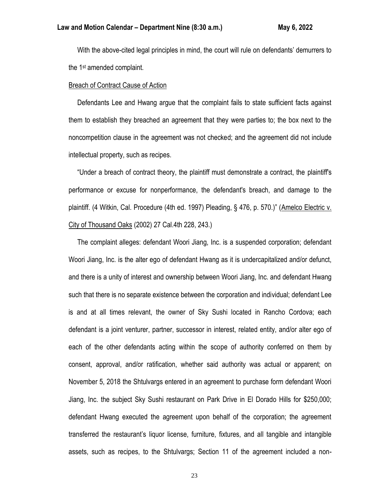With the above-cited legal principles in mind, the court will rule on defendants' demurrers to the 1st amended complaint.

## Breach of Contract Cause of Action

 Defendants Lee and Hwang argue that the complaint fails to state sufficient facts against them to establish they breached an agreement that they were parties to; the box next to the noncompetition clause in the agreement was not checked; and the agreement did not include intellectual property, such as recipes.

 "Under a breach of contract theory, the plaintiff must demonstrate a contract, the plaintiff's performance or excuse for nonperformance, the defendant's breach, and damage to the plaintiff. (4 Witkin, Cal. Procedure (4th ed. 1997) Pleading, § 476, p. 570.)" (Amelco Electric v. City of Thousand Oaks (2002) 27 Cal.4th 228, 243.)

 The complaint alleges: defendant Woori Jiang, Inc. is a suspended corporation; defendant Woori Jiang, Inc. is the alter ego of defendant Hwang as it is undercapitalized and/or defunct, and there is a unity of interest and ownership between Woori Jiang, Inc. and defendant Hwang such that there is no separate existence between the corporation and individual; defendant Lee is and at all times relevant, the owner of Sky Sushi located in Rancho Cordova; each defendant is a joint venturer, partner, successor in interest, related entity, and/or alter ego of each of the other defendants acting within the scope of authority conferred on them by consent, approval, and/or ratification, whether said authority was actual or apparent; on November 5, 2018 the Shtulvargs entered in an agreement to purchase form defendant Woori Jiang, Inc. the subject Sky Sushi restaurant on Park Drive in El Dorado Hills for \$250,000; defendant Hwang executed the agreement upon behalf of the corporation; the agreement transferred the restaurant's liquor license, furniture, fixtures, and all tangible and intangible assets, such as recipes, to the Shtulvargs; Section 11 of the agreement included a non-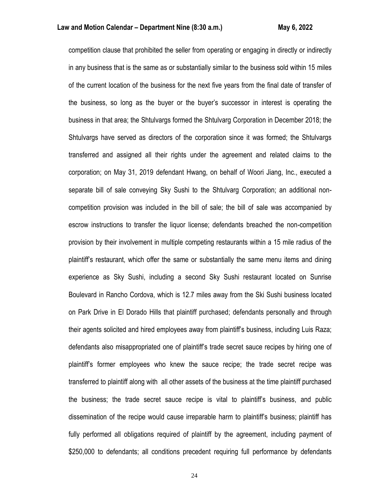competition clause that prohibited the seller from operating or engaging in directly or indirectly in any business that is the same as or substantially similar to the business sold within 15 miles of the current location of the business for the next five years from the final date of transfer of the business, so long as the buyer or the buyer's successor in interest is operating the business in that area; the Shtulvargs formed the Shtulvarg Corporation in December 2018; the Shtulvargs have served as directors of the corporation since it was formed; the Shtulvargs transferred and assigned all their rights under the agreement and related claims to the corporation; on May 31, 2019 defendant Hwang, on behalf of Woori Jiang, Inc., executed a separate bill of sale conveying Sky Sushi to the Shtulvarg Corporation; an additional noncompetition provision was included in the bill of sale; the bill of sale was accompanied by escrow instructions to transfer the liquor license; defendants breached the non-competition provision by their involvement in multiple competing restaurants within a 15 mile radius of the plaintiff's restaurant, which offer the same or substantially the same menu items and dining experience as Sky Sushi, including a second Sky Sushi restaurant located on Sunrise Boulevard in Rancho Cordova, which is 12.7 miles away from the Ski Sushi business located on Park Drive in El Dorado Hills that plaintiff purchased; defendants personally and through their agents solicited and hired employees away from plaintiff's business, including Luis Raza; defendants also misappropriated one of plaintiff's trade secret sauce recipes by hiring one of plaintiff's former employees who knew the sauce recipe; the trade secret recipe was transferred to plaintiff along with all other assets of the business at the time plaintiff purchased the business; the trade secret sauce recipe is vital to plaintiff's business, and public dissemination of the recipe would cause irreparable harm to plaintiff's business; plaintiff has fully performed all obligations required of plaintiff by the agreement, including payment of \$250,000 to defendants; all conditions precedent requiring full performance by defendants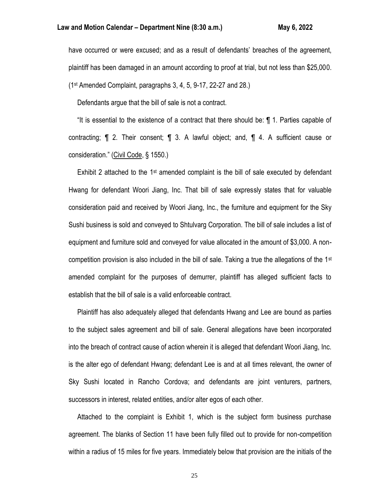have occurred or were excused; and as a result of defendants' breaches of the agreement, plaintiff has been damaged in an amount according to proof at trial, but not less than \$25,000. (1st Amended Complaint, paragraphs 3, 4, 5, 9-17, 22-27 and 28.)

Defendants argue that the bill of sale is not a contract.

 "It is essential to the existence of a contract that there should be: ¶ 1. Parties capable of contracting; ¶ 2. Their consent; ¶ 3. A lawful object; and, ¶ 4. A sufficient cause or consideration." (Civil Code, § 1550.)

Exhibit 2 attached to the  $1st$  amended complaint is the bill of sale executed by defendant Hwang for defendant Woori Jiang, Inc. That bill of sale expressly states that for valuable consideration paid and received by Woori Jiang, Inc., the furniture and equipment for the Sky Sushi business is sold and conveyed to Shtulvarg Corporation. The bill of sale includes a list of equipment and furniture sold and conveyed for value allocated in the amount of \$3,000. A noncompetition provision is also included in the bill of sale. Taking a true the allegations of the  $1<sup>st</sup>$ amended complaint for the purposes of demurrer, plaintiff has alleged sufficient facts to establish that the bill of sale is a valid enforceable contract.

 Plaintiff has also adequately alleged that defendants Hwang and Lee are bound as parties to the subject sales agreement and bill of sale. General allegations have been incorporated into the breach of contract cause of action wherein it is alleged that defendant Woori Jiang, Inc. is the alter ego of defendant Hwang; defendant Lee is and at all times relevant, the owner of Sky Sushi located in Rancho Cordova; and defendants are joint venturers, partners, successors in interest, related entities, and/or alter egos of each other.

 Attached to the complaint is Exhibit 1, which is the subject form business purchase agreement. The blanks of Section 11 have been fully filled out to provide for non-competition within a radius of 15 miles for five years. Immediately below that provision are the initials of the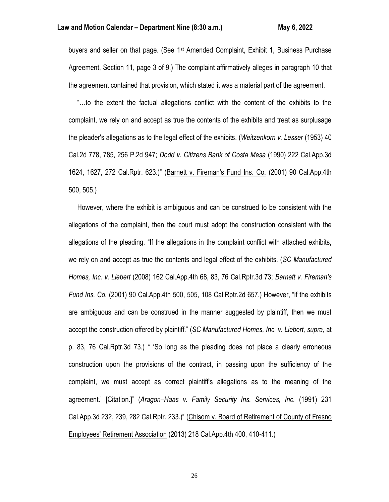buyers and seller on that page. (See 1<sup>st</sup> Amended Complaint, Exhibit 1, Business Purchase Agreement, Section 11, page 3 of 9.) The complaint affirmatively alleges in paragraph 10 that the agreement contained that provision, which stated it was a material part of the agreement.

 "…to the extent the factual allegations conflict with the content of the exhibits to the complaint, we rely on and accept as true the contents of the exhibits and treat as surplusage the pleader's allegations as to the legal effect of the exhibits. (*Weitzenkorn v. Lesser* (1953) 40 Cal.2d 778, 785, 256 P.2d 947; *Dodd v. Citizens Bank of Costa Mesa* (1990) 222 Cal.App.3d 1624, 1627, 272 Cal.Rptr. 623.)" (Barnett v. Fireman's Fund Ins. Co. (2001) 90 Cal.App.4th 500, 505.)

 However, where the exhibit is ambiguous and can be construed to be consistent with the allegations of the complaint, then the court must adopt the construction consistent with the allegations of the pleading. "If the allegations in the complaint conflict with attached exhibits, we rely on and accept as true the contents and legal effect of the exhibits. (*SC Manufactured Homes, Inc. v. Liebert* (2008) 162 Cal.App.4th 68, 83, 76 Cal.Rptr.3d 73; *Barnett v. Fireman's Fund Ins. Co.* (2001) 90 Cal.App.4th 500, 505, 108 Cal.Rptr.2d 657.) However, "if the exhibits are ambiguous and can be construed in the manner suggested by plaintiff, then we must accept the construction offered by plaintiff." (*SC Manufactured Homes, Inc. v. Liebert, supra,* at p. 83, 76 Cal.Rptr.3d 73.) " 'So long as the pleading does not place a clearly erroneous construction upon the provisions of the contract, in passing upon the sufficiency of the complaint, we must accept as correct plaintiff's allegations as to the meaning of the agreement.' [Citation.]" (*Aragon–Haas v. Family Security Ins. Services, Inc.* (1991) 231 Cal.App.3d 232, 239, 282 Cal.Rptr. 233.)" (Chisom v. Board of Retirement of County of Fresno Employees' Retirement Association (2013) 218 Cal.App.4th 400, 410-411.)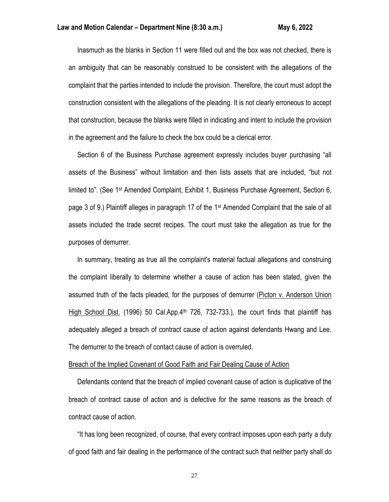Inasmuch as the blanks in Section 11 were filled out and the box was not checked, there is an ambiguity that can be reasonably construed to be consistent with the allegations of the complaint that the parties intended to include the provision. Therefore, the court must adopt the construction consistent with the allegations of the pleading. It is not clearly erroneous to accept that construction, because the blanks were filled in indicating and intent to include the provision in the agreement and the failure to check the box could be a clerical error.

 Section 6 of the Business Purchase agreement expressly includes buyer purchasing "all assets of the Business" without limitation and then lists assets that are included, "but not limited to". (See 1st Amended Complaint, Exhibit 1, Business Purchase Agreement, Section 6, page 3 of 9.) Plaintiff alleges in paragraph 17 of the 1st Amended Complaint that the sale of all assets included the trade secret recipes. The court must take the allegation as true for the purposes of demurrer.

 In summary, treating as true all the complaint's material factual allegations and construing the complaint liberally to determine whether a cause of action has been stated, given the assumed truth of the facts pleaded, for the purposes of demurrer (Picton v. Anderson Union High School Dist. (1996) 50 Cal.App. $4<sup>th</sup>$  726, 732-733.), the court finds that plaintiff has adequately alleged a breach of contract cause of action against defendants Hwang and Lee. The demurrer to the breach of contact cause of action is overruled.

## Breach of the Implied Covenant of Good Faith and Fair Dealing Cause of Action

 Defendants contend that the breach of implied covenant cause of action is duplicative of the breach of contract cause of action and is defective for the same reasons as the breach of contract cause of action.

 "It has long been recognized, of course, that every contract imposes upon each party a duty of good faith and fair dealing in the performance of the contract such that neither party shall do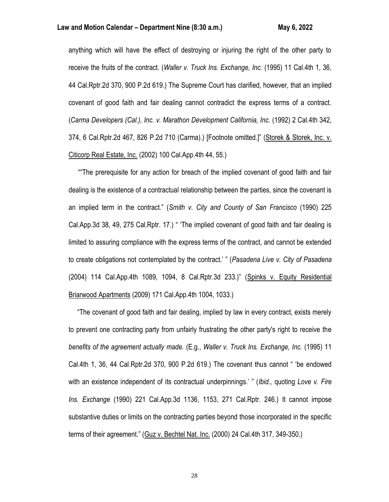## **Law and Motion Calendar – Department Nine (8:30 a.m.) May 6, 2022**

anything which will have the effect of destroying or injuring the right of the other party to receive the fruits of the contract. (*Waller v. Truck Ins. Exchange, Inc.* (1995) 11 Cal.4th 1, 36, 44 Cal.Rptr.2d 370, 900 P.2d 619.) The Supreme Court has clarified, however, that an implied covenant of good faith and fair dealing cannot contradict the express terms of a contract. (*Carma Developers (Cal.), Inc. v. Marathon Development California, Inc.* (1992) 2 Cal.4th 342, 374, 6 Cal.Rptr.2d 467, 826 P.2d 710 (Carma).) [Footnote omitted.]" (Storek & Storek, Inc. v. Citicorp Real Estate, Inc. (2002) 100 Cal.App.4th 44, 55.)

""The prerequisite for any action for breach of the implied covenant of good faith and fair dealing is the existence of a contractual relationship between the parties, since the covenant is an implied term in the contract." (*Smith v. City and County of San Francisco* (1990) 225 Cal.App.3d 38, 49, 275 Cal.Rptr. 17.) " 'The implied covenant of good faith and fair dealing is limited to assuring compliance with the express terms of the contract, and cannot be extended to create obligations not contemplated by the contract.' " (*Pasadena Live v. City of Pasadena* (2004) 114 Cal.App.4th 1089, 1094, 8 Cal.Rptr.3d 233.)" (Spinks v. Equity Residential Briarwood Apartments (2009) 171 Cal.App.4th 1004, 1033.)

 "The covenant of good faith and fair dealing, implied by law in every contract, exists merely to prevent one contracting party from unfairly frustrating the other party's right to receive the *benefits of the agreement actually made.* (E.g., *Waller v. Truck Ins. Exchange, Inc.* (1995) 11 Cal.4th 1, 36, 44 Cal.Rptr.2d 370, 900 P.2d 619.) The covenant thus cannot " 'be endowed with an existence independent of its contractual underpinnings.' " (*Ibid.,* quoting *Love v. Fire Ins. Exchange* (1990) 221 Cal.App.3d 1136, 1153, 271 Cal.Rptr. 246.) It cannot impose substantive duties or limits on the contracting parties beyond those incorporated in the specific terms of their agreement." (Guz v. Bechtel Nat. Inc. (2000) 24 Cal.4th 317, 349-350.)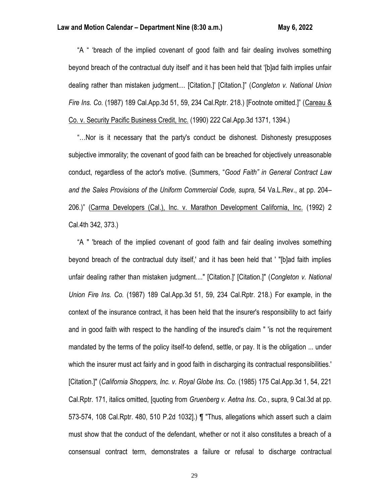"A " 'breach of the implied covenant of good faith and fair dealing involves something beyond breach of the contractual duty itself' and it has been held that '[b]ad faith implies unfair dealing rather than mistaken judgment.... [Citation.]' [Citation.]" (*Congleton v. National Union Fire Ins. Co.* (1987) 189 Cal.App.3d 51, 59, 234 Cal.Rptr. 218.) [Footnote omitted.]" (Careau & Co. v. Security Pacific Business Credit, Inc. (1990) 222 Cal.App.3d 1371, 1394.)

 "…Nor is it necessary that the party's conduct be dishonest. Dishonesty presupposes subjective immorality; the covenant of good faith can be breached for objectively unreasonable conduct, regardless of the actor's motive. (Summers, "*Good Faith" in General Contract Law and the Sales Provisions of the Uniform Commercial Code, supra,* 54 Va.L.Rev., at pp. 204– 206.)" (Carma Developers (Cal.), Inc. v. Marathon Development California, Inc. (1992) 2 Cal.4th 342, 373.)

 "A " 'breach of the implied covenant of good faith and fair dealing involves something beyond breach of the contractual duty itself,' and it has been held that ' "[b]ad faith implies unfair dealing rather than mistaken judgment...." [Citation.]' [Citation.]" (*Congleton v. National Union Fire Ins. Co.* (1987) 189 Cal.App.3d 51, 59, 234 Cal.Rptr. 218.) For example, in the context of the insurance contract, it has been held that the insurer's responsibility to act fairly and in good faith with respect to the handling of the insured's claim " 'is not the requirement mandated by the terms of the policy itself-to defend, settle, or pay. It is the obligation ... under which the insurer must act fairly and in good faith in discharging its contractual responsibilities.' [Citation.]" (*California Shoppers, Inc. v. Royal Globe Ins. Co.* (1985) 175 Cal.App.3d 1, 54, 221 Cal.Rptr. 171, italics omitted, [quoting from *Gruenberg v. Aetna Ins. Co.*, supra, 9 Cal.3d at pp. 573-574, 108 Cal.Rptr. 480, 510 P.2d 1032].) ¶ "Thus, allegations which assert such a claim must show that the conduct of the defendant, whether or not it also constitutes a breach of a consensual contract term, demonstrates a failure or refusal to discharge contractual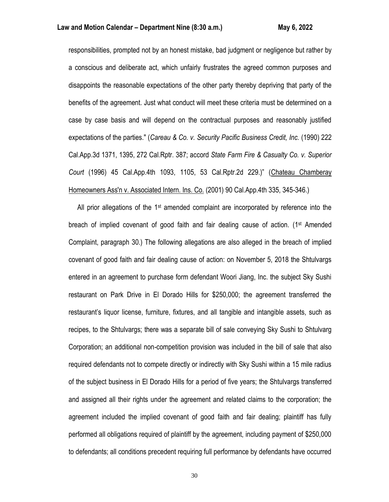responsibilities, prompted not by an honest mistake, bad judgment or negligence but rather by a conscious and deliberate act, which unfairly frustrates the agreed common purposes and disappoints the reasonable expectations of the other party thereby depriving that party of the benefits of the agreement. Just what conduct will meet these criteria must be determined on a case by case basis and will depend on the contractual purposes and reasonably justified expectations of the parties." (*Careau & Co. v. Security Pacific Business Credit, Inc.* (1990) 222 Cal.App.3d 1371, 1395, 272 Cal.Rptr. 387; accord *State Farm Fire & Casualty Co. v. Superior Court* (1996) 45 Cal.App.4th 1093, 1105, 53 Cal.Rptr.2d 229.)" (Chateau Chamberay Homeowners Ass'n v. Associated Intern. Ins. Co. (2001) 90 Cal.App.4th 335, 345-346.)

All prior allegations of the  $1st$  amended complaint are incorporated by reference into the breach of implied covenant of good faith and fair dealing cause of action. (1st Amended Complaint, paragraph 30.) The following allegations are also alleged in the breach of implied covenant of good faith and fair dealing cause of action: on November 5, 2018 the Shtulvargs entered in an agreement to purchase form defendant Woori Jiang, Inc. the subject Sky Sushi restaurant on Park Drive in El Dorado Hills for \$250,000; the agreement transferred the restaurant's liquor license, furniture, fixtures, and all tangible and intangible assets, such as recipes, to the Shtulvargs; there was a separate bill of sale conveying Sky Sushi to Shtulvarg Corporation; an additional non-competition provision was included in the bill of sale that also required defendants not to compete directly or indirectly with Sky Sushi within a 15 mile radius of the subject business in El Dorado Hills for a period of five years; the Shtulvargs transferred and assigned all their rights under the agreement and related claims to the corporation; the agreement included the implied covenant of good faith and fair dealing; plaintiff has fully performed all obligations required of plaintiff by the agreement, including payment of \$250,000 to defendants; all conditions precedent requiring full performance by defendants have occurred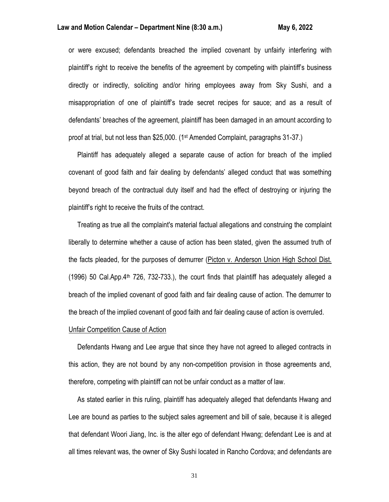## Law and Motion Calendar – Department Nine (8:30 a.m.) May 6, 2022

or were excused; defendants breached the implied covenant by unfairly interfering with plaintiff's right to receive the benefits of the agreement by competing with plaintiff's business directly or indirectly, soliciting and/or hiring employees away from Sky Sushi, and a misappropriation of one of plaintiff's trade secret recipes for sauce; and as a result of defendants' breaches of the agreement, plaintiff has been damaged in an amount according to proof at trial, but not less than \$25,000. (1st Amended Complaint, paragraphs 31-37.)

 Plaintiff has adequately alleged a separate cause of action for breach of the implied covenant of good faith and fair dealing by defendants' alleged conduct that was something beyond breach of the contractual duty itself and had the effect of destroying or injuring the plaintiff's right to receive the fruits of the contract.

 Treating as true all the complaint's material factual allegations and construing the complaint liberally to determine whether a cause of action has been stated, given the assumed truth of the facts pleaded, for the purposes of demurrer (Picton v. Anderson Union High School Dist.  $(1996)$  50 Cal.App.4<sup>th</sup> 726, 732-733.), the court finds that plaintiff has adequately alleged a breach of the implied covenant of good faith and fair dealing cause of action. The demurrer to the breach of the implied covenant of good faith and fair dealing cause of action is overruled.

## Unfair Competition Cause of Action

 Defendants Hwang and Lee argue that since they have not agreed to alleged contracts in this action, they are not bound by any non-competition provision in those agreements and, therefore, competing with plaintiff can not be unfair conduct as a matter of law.

 As stated earlier in this ruling, plaintiff has adequately alleged that defendants Hwang and Lee are bound as parties to the subject sales agreement and bill of sale, because it is alleged that defendant Woori Jiang, Inc. is the alter ego of defendant Hwang; defendant Lee is and at all times relevant was, the owner of Sky Sushi located in Rancho Cordova; and defendants are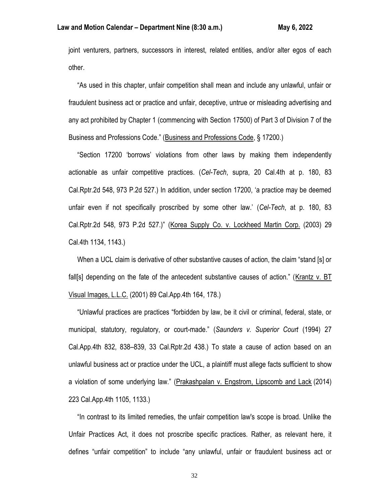joint venturers, partners, successors in interest, related entities, and/or alter egos of each other.

 "As used in this chapter, unfair competition shall mean and include any unlawful, unfair or fraudulent business act or practice and unfair, deceptive, untrue or misleading advertising and any act prohibited by Chapter 1 (commencing with Section 17500) of Part 3 of Division 7 of the Business and Professions Code." (Business and Professions Code, § 17200.)

 "Section 17200 'borrows' violations from other laws by making them independently actionable as unfair competitive practices. (*Cel-Tech*, supra, 20 Cal.4th at p. 180, 83 Cal.Rptr.2d 548, 973 P.2d 527.) In addition, under section 17200, 'a practice may be deemed unfair even if not specifically proscribed by some other law.' (*Cel-Tech*, at p. 180, 83 Cal.Rptr.2d 548, 973 P.2d 527.)" (Korea Supply Co. v. Lockheed Martin Corp. (2003) 29 Cal.4th 1134, 1143.)

 When a UCL claim is derivative of other substantive causes of action, the claim "stand [s] or fall[s] depending on the fate of the antecedent substantive causes of action." (Krantz v. BT Visual Images, L.L.C. (2001) 89 Cal.App.4th 164, 178.)

 "Unlawful practices are practices "forbidden by law, be it civil or criminal, federal, state, or municipal, statutory, regulatory, or court-made." (*Saunders v. Superior Court* (1994) 27 Cal.App.4th 832, 838–839, 33 Cal.Rptr.2d 438.) To state a cause of action based on an unlawful business act or practice under the UCL, a plaintiff must allege facts sufficient to show a violation of some underlying law." (Prakashpalan v. Engstrom, Lipscomb and Lack (2014) 223 Cal.App.4th 1105, 1133.)

 "In contrast to its limited remedies, the unfair competition law's scope is broad. Unlike the Unfair Practices Act, it does not proscribe specific practices. Rather, as relevant here, it defines "unfair competition" to include "any unlawful, unfair or fraudulent business act or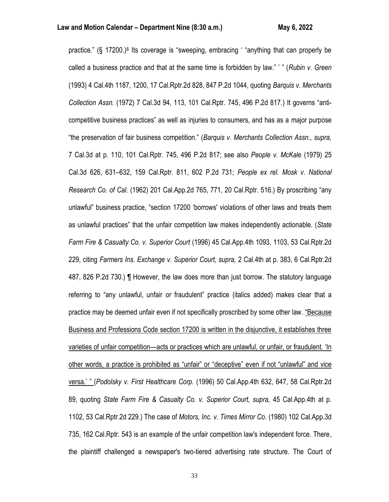practice." (§ 17200.)<sup>8</sup> Its coverage is "sweeping, embracing ' "anything that can properly be called a business practice and that at the same time is forbidden by law." ' " (*Rubin v. Green* (1993) 4 Cal.4th 1187, 1200, 17 Cal.Rptr.2d 828, 847 P.2d 1044, quoting *Barquis v. Merchants Collection Assn.* (1972) 7 Cal.3d 94, 113, 101 Cal.Rptr. 745, 496 P.2d 817.) It governs "anticompetitive business practices" as well as injuries to consumers, and has as a major purpose "the preservation of fair business competition." (*Barquis v. Merchants Collection Assn., supra,* 7 Cal.3d at p. 110, 101 Cal.Rptr. 745, 496 P.2d 817; see also *People v. McKale* (1979) 25 Cal.3d 626, 631–632, 159 Cal.Rptr. 811, 602 P.2d 731; *People ex rel. Mosk v. National Research Co. of Cal.* (1962) 201 Cal.App.2d 765, 771, 20 Cal.Rptr. 516.) By proscribing "any unlawful" business practice, "section 17200 'borrows' violations of other laws and treats them as unlawful practices" that the unfair competition law makes independently actionable. (*State Farm Fire & Casualty Co. v. Superior Court* (1996) 45 Cal.App.4th 1093, 1103, 53 Cal.Rptr.2d 229, citing *Farmers Ins. Exchange v. Superior Court, supra,* 2 Cal.4th at p. 383, 6 Cal.Rptr.2d 487, 826 P.2d 730.) ¶ However, the law does more than just borrow. The statutory language referring to "any unlawful, unfair *or* fraudulent" practice (italics added) makes clear that a practice may be deemed unfair even if not specifically proscribed by some other law. "Because Business and Professions Code section 17200 is written in the disjunctive, it establishes three varieties of unfair competition—acts or practices which are unlawful, or unfair, or fraudulent. 'In other words, a practice is prohibited as "unfair" or "deceptive" even if not "unlawful" and vice versa.' " (*Podolsky v. First Healthcare Corp.* (1996) 50 Cal.App.4th 632, 647, 58 Cal.Rptr.2d 89, quoting *State Farm Fire & Casualty Co. v. Superior Court, supra,* 45 Cal.App.4th at p. 1102, 53 Cal.Rptr.2d 229.) The case of *Motors, Inc. v. Times Mirror Co.* (1980) 102 Cal.App.3d 735, 162 Cal.Rptr. 543 is an example of the unfair competition law's independent force. There, the plaintiff challenged a newspaper's two-tiered advertising rate structure. The Court of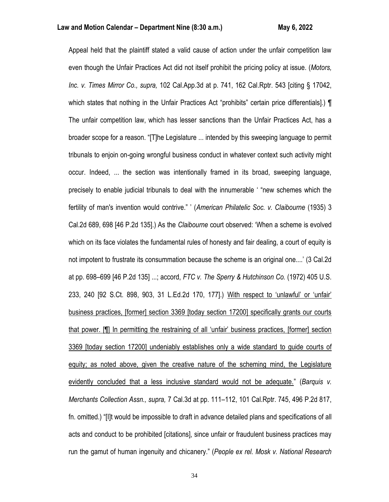Appeal held that the plaintiff stated a valid cause of action under the unfair competition law even though the Unfair Practices Act did not itself prohibit the pricing policy at issue. (*Motors, Inc. v. Times Mirror Co., supra,* 102 Cal.App.3d at p. 741, 162 Cal.Rptr. 543 [citing § 17042, which states that nothing in the Unfair Practices Act "prohibits" certain price differentials].) ¶ The unfair competition law, which has lesser sanctions than the Unfair Practices Act, has a broader scope for a reason. "[T]he Legislature ... intended by this sweeping language to permit tribunals to enjoin on-going wrongful business conduct in whatever context such activity might occur. Indeed, ... the section was intentionally framed in its broad, sweeping language, precisely to enable judicial tribunals to deal with the innumerable ' "new schemes which the fertility of man's invention would contrive." ' (*American Philatelic Soc. v. Claibourne* (1935) 3 Cal.2d 689, 698 [46 P.2d 135].) As the *Claibourne* court observed: 'When a scheme is evolved which on its face violates the fundamental rules of honesty and fair dealing, a court of equity is not impotent to frustrate its consummation because the scheme is an original one....' (3 Cal.2d at pp. 698–699 [46 P.2d 135] ...; accord, *FTC v. The Sperry & Hutchinson Co.* (1972) 405 U.S. 233, 240 [92 S.Ct. 898, 903, 31 L.Ed.2d 170, 177].) With respect to 'unlawful' or 'unfair' business practices, [former] section 3369 [today section 17200] specifically grants our courts that power. [¶] In permitting the restraining of all 'unfair' business practices, [former] section 3369 [today section 17200] undeniably establishes only a wide standard to guide courts of equity; as noted above, given the creative nature of the scheming mind, the Legislature evidently concluded that a less inclusive standard would not be adequate." (*Barquis v. Merchants Collection Assn., supra,* 7 Cal.3d at pp. 111–112, 101 Cal.Rptr. 745, 496 P.2d 817, fn. omitted.) "[I]t would be impossible to draft in advance detailed plans and specifications of all acts and conduct to be prohibited [citations], since unfair or fraudulent business practices may run the gamut of human ingenuity and chicanery." (*People ex rel. Mosk v. National Research*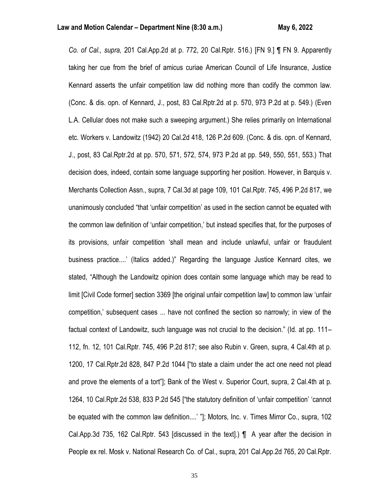*Co. of Cal., supra,* 201 Cal.App.2d at p. 772, 20 Cal.Rptr. 516.) [FN 9.] ¶ FN 9. Apparently taking her cue from the brief of amicus curiae American Council of Life Insurance, Justice Kennard asserts the unfair competition law did nothing more than codify the common law. (Conc. & dis. opn. of Kennard, J., post, 83 Cal.Rptr.2d at p. 570, 973 P.2d at p. 549.) (Even L.A. Cellular does not make such a sweeping argument.) She relies primarily on International etc. Workers v. Landowitz (1942) 20 Cal.2d 418, 126 P.2d 609. (Conc. & dis. opn. of Kennard, J., post, 83 Cal.Rptr.2d at pp. 570, 571, 572, 574, 973 P.2d at pp. 549, 550, 551, 553.) That decision does, indeed, contain some language supporting her position. However, in Barquis v. Merchants Collection Assn., supra, 7 Cal.3d at page 109, 101 Cal.Rptr. 745, 496 P.2d 817, we unanimously concluded "that 'unfair competition' as used in the section cannot be equated with the common law definition of 'unfair competition,' but instead specifies that, for the purposes of its provisions, unfair competition 'shall mean and include unlawful, unfair or fraudulent business practice....' (Italics added.)" Regarding the language Justice Kennard cites, we stated, "Although the Landowitz opinion does contain some language which may be read to limit [Civil Code former] section 3369 [the original unfair competition law] to common law 'unfair competition,' subsequent cases ... have not confined the section so narrowly; in view of the factual context of Landowitz, such language was not crucial to the decision." (Id. at pp. 111– 112, fn. 12, 101 Cal.Rptr. 745, 496 P.2d 817; see also Rubin v. Green, supra, 4 Cal.4th at p. 1200, 17 Cal.Rptr.2d 828, 847 P.2d 1044 ["to state a claim under the act one need not plead and prove the elements of a tort"]; Bank of the West v. Superior Court, supra, 2 Cal.4th at p. 1264, 10 Cal.Rptr.2d 538, 833 P.2d 545 ["the statutory definition of 'unfair competition' 'cannot be equated with the common law definition....' "]; Motors, Inc. v. Times Mirror Co., supra, 102 Cal.App.3d 735, 162 Cal.Rptr. 543 [discussed in the text].) ¶ A year after the decision in People ex rel. Mosk v. National Research Co. of Cal., supra, 201 Cal.App.2d 765, 20 Cal.Rptr.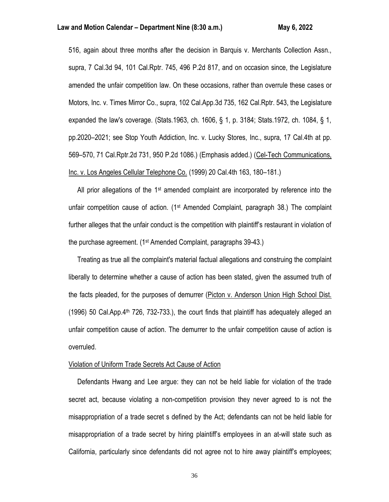516, again about three months after the decision in Barquis v. Merchants Collection Assn., supra, 7 Cal.3d 94, 101 Cal.Rptr. 745, 496 P.2d 817, and on occasion since, the Legislature amended the unfair competition law. On these occasions, rather than overrule these cases or Motors, Inc. v. Times Mirror Co., supra, 102 Cal.App.3d 735, 162 Cal.Rptr. 543, the Legislature expanded the law's coverage. (Stats.1963, ch. 1606, § 1, p. 3184; Stats.1972, ch. 1084, § 1, pp.2020–2021; see Stop Youth Addiction, Inc. v. Lucky Stores, Inc., supra, 17 Cal.4th at pp. 569–570, 71 Cal.Rptr.2d 731, 950 P.2d 1086.) (Emphasis added.) (Cel-Tech Communications, Inc. v. Los Angeles Cellular Telephone Co. (1999) 20 Cal.4th 163, 180–181.)

All prior allegations of the  $1st$  amended complaint are incorporated by reference into the unfair competition cause of action.  $(1^{st}$  Amended Complaint, paragraph 38.) The complaint further alleges that the unfair conduct is the competition with plaintiff's restaurant in violation of the purchase agreement. (1st Amended Complaint, paragraphs 39-43.)

 Treating as true all the complaint's material factual allegations and construing the complaint liberally to determine whether a cause of action has been stated, given the assumed truth of the facts pleaded, for the purposes of demurrer (Picton v. Anderson Union High School Dist. (1996) 50 Cal.App.4<sup>th</sup> 726, 732-733.), the court finds that plaintiff has adequately alleged an unfair competition cause of action. The demurrer to the unfair competition cause of action is overruled.

## Violation of Uniform Trade Secrets Act Cause of Action

 Defendants Hwang and Lee argue: they can not be held liable for violation of the trade secret act, because violating a non-competition provision they never agreed to is not the misappropriation of a trade secret s defined by the Act; defendants can not be held liable for misappropriation of a trade secret by hiring plaintiff's employees in an at-will state such as California, particularly since defendants did not agree not to hire away plaintiff's employees;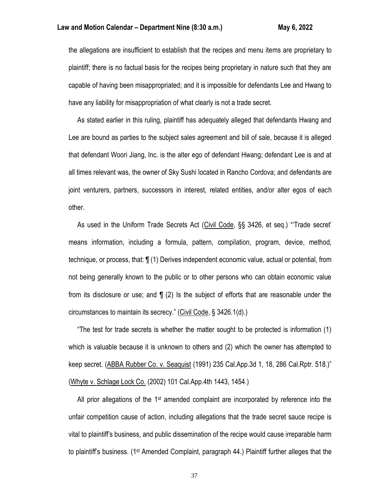the allegations are insufficient to establish that the recipes and menu items are proprietary to plaintiff; there is no factual basis for the recipes being proprietary in nature such that they are capable of having been misappropriated; and it is impossible for defendants Lee and Hwang to have any liability for misappropriation of what clearly is not a trade secret.

 As stated earlier in this ruling, plaintiff has adequately alleged that defendants Hwang and Lee are bound as parties to the subject sales agreement and bill of sale, because it is alleged that defendant Woori Jiang, Inc. is the alter ego of defendant Hwang; defendant Lee is and at all times relevant was, the owner of Sky Sushi located in Rancho Cordova; and defendants are joint venturers, partners, successors in interest, related entities, and/or alter egos of each other.

 As used in the Uniform Trade Secrets Act (Civil Code, §§ 3426, et seq.) "'Trade secret' means information, including a formula, pattern, compilation, program, device, method, technique, or process, that: ¶ (1) Derives independent economic value, actual or potential, from not being generally known to the public or to other persons who can obtain economic value from its disclosure or use; and ¶ (2) Is the subject of efforts that are reasonable under the circumstances to maintain its secrecy." (Civil Code, § 3426.1(d).)

 "The test for trade secrets is whether the matter sought to be protected is information (1) which is valuable because it is unknown to others and (2) which the owner has attempted to keep secret. (ABBA Rubber Co. v. Seaquist (1991) 235 Cal.App.3d 1, 18, 286 Cal.Rptr. 518.)" (Whyte v. Schlage Lock Co. (2002) 101 Cal.App.4th 1443, 1454.)

All prior allegations of the  $1<sup>st</sup>$  amended complaint are incorporated by reference into the unfair competition cause of action, including allegations that the trade secret sauce recipe is vital to plaintiff's business, and public dissemination of the recipe would cause irreparable harm to plaintiff's business. (1st Amended Complaint, paragraph 44.) Plaintiff further alleges that the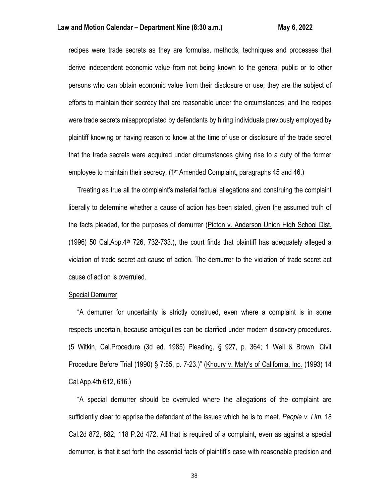recipes were trade secrets as they are formulas, methods, techniques and processes that derive independent economic value from not being known to the general public or to other persons who can obtain economic value from their disclosure or use; they are the subject of efforts to maintain their secrecy that are reasonable under the circumstances; and the recipes were trade secrets misappropriated by defendants by hiring individuals previously employed by plaintiff knowing or having reason to know at the time of use or disclosure of the trade secret that the trade secrets were acquired under circumstances giving rise to a duty of the former employee to maintain their secrecy. (1<sup>st</sup> Amended Complaint, paragraphs 45 and 46.)

 Treating as true all the complaint's material factual allegations and construing the complaint liberally to determine whether a cause of action has been stated, given the assumed truth of the facts pleaded, for the purposes of demurrer (Picton v. Anderson Union High School Dist. (1996) 50 Cal.App.4<sup>th</sup> 726, 732-733.), the court finds that plaintiff has adequately alleged a violation of trade secret act cause of action. The demurrer to the violation of trade secret act cause of action is overruled.

#### Special Demurrer

 "A demurrer for uncertainty is strictly construed, even where a complaint is in some respects uncertain, because ambiguities can be clarified under modern discovery procedures. (5 Witkin, Cal.Procedure (3d ed. 1985) Pleading, § 927, p. 364; 1 Weil & Brown, Civil Procedure Before Trial (1990) § 7:85, p. 7-23.)" (Khoury v. Maly's of California, Inc. (1993) 14 Cal.App.4th 612, 616.)

 "A special demurrer should be overruled where the allegations of the complaint are sufficiently clear to apprise the defendant of the issues which he is to meet. *People v. Lim*, 18 Cal.2d 872, 882, 118 P.2d 472. All that is required of a complaint, even as against a special demurrer, is that it set forth the essential facts of plaintiff's case with reasonable precision and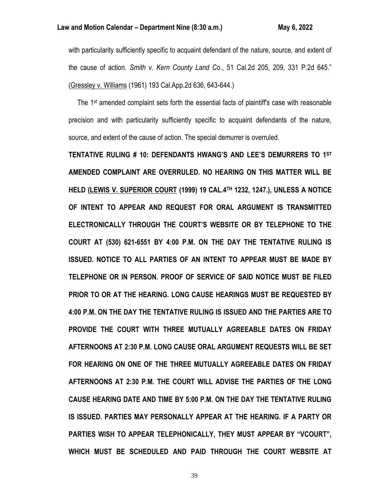with particularity sufficiently specific to acquaint defendant of the nature, source, and extent of the cause of action. *Smith v. Kern County Land Co.*, 51 Cal.2d 205, 209, 331 P.2d 645." (Gressley v. Williams (1961) 193 Cal.App.2d 636, 643-644.)

 The 1st amended complaint sets forth the essential facts of plaintiff's case with reasonable precision and with particularity sufficiently specific to acquaint defendants of the nature, source, and extent of the cause of action. The special demurrer is overruled.

**TENTATIVE RULING # 10: DEFENDANTS HWANG'S AND LEE'S DEMURRERS TO 1ST AMENDED COMPLAINT ARE OVERRULED. NO HEARING ON THIS MATTER WILL BE HELD (LEWIS V. SUPERIOR COURT (1999) 19 CAL.4TH 1232, 1247.), UNLESS A NOTICE OF INTENT TO APPEAR AND REQUEST FOR ORAL ARGUMENT IS TRANSMITTED ELECTRONICALLY THROUGH THE COURT'S WEBSITE OR BY TELEPHONE TO THE COURT AT (530) 621-6551 BY 4:00 P.M. ON THE DAY THE TENTATIVE RULING IS ISSUED. NOTICE TO ALL PARTIES OF AN INTENT TO APPEAR MUST BE MADE BY TELEPHONE OR IN PERSON. PROOF OF SERVICE OF SAID NOTICE MUST BE FILED PRIOR TO OR AT THE HEARING. LONG CAUSE HEARINGS MUST BE REQUESTED BY 4:00 P.M. ON THE DAY THE TENTATIVE RULING IS ISSUED AND THE PARTIES ARE TO PROVIDE THE COURT WITH THREE MUTUALLY AGREEABLE DATES ON FRIDAY AFTERNOONS AT 2:30 P.M. LONG CAUSE ORAL ARGUMENT REQUESTS WILL BE SET FOR HEARING ON ONE OF THE THREE MUTUALLY AGREEABLE DATES ON FRIDAY AFTERNOONS AT 2:30 P.M. THE COURT WILL ADVISE THE PARTIES OF THE LONG CAUSE HEARING DATE AND TIME BY 5:00 P.M. ON THE DAY THE TENTATIVE RULING IS ISSUED. PARTIES MAY PERSONALLY APPEAR AT THE HEARING. IF A PARTY OR PARTIES WISH TO APPEAR TELEPHONICALLY, THEY MUST APPEAR BY "VCOURT", WHICH MUST BE SCHEDULED AND PAID THROUGH THE COURT WEBSITE AT**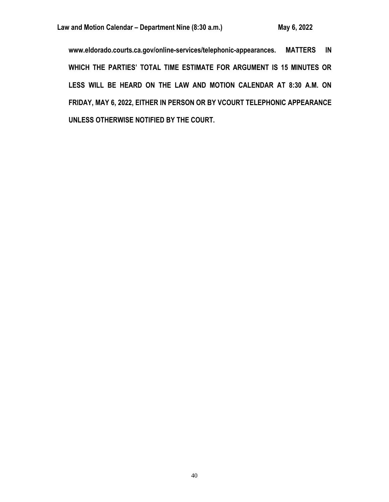**www.eldorado.courts.ca.gov/online-services/telephonic-appearances. MATTERS IN**  WHICH THE PARTIES' TOTAL TIME ESTIMATE FOR ARGUMENT IS 15 MINUTES OR **LESS WILL BE HEARD ON THE LAW AND MOTION CALENDAR AT 8:30 A.M. ON FRIDAY, MAY 6, 2022, EITHER IN PERSON OR BY VCOURT TELEPHONIC APPEARANCE UNLESS OTHERWISE NOTIFIED BY THE COURT.**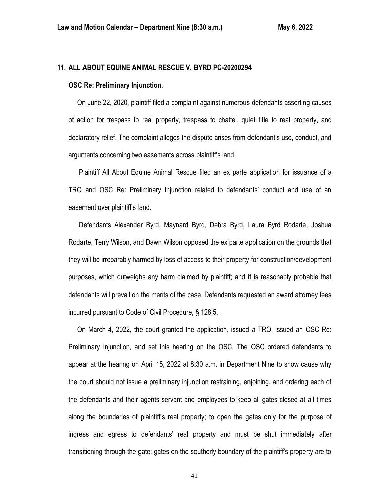# **11. ALL ABOUT EQUINE ANIMAL RESCUE V. BYRD PC-20200294**

#### **OSC Re: Preliminary Injunction.**

 On June 22, 2020, plaintiff filed a complaint against numerous defendants asserting causes of action for trespass to real property, trespass to chattel, quiet title to real property, and declaratory relief. The complaint alleges the dispute arises from defendant's use, conduct, and arguments concerning two easements across plaintiff's land.

 Plaintiff All About Equine Animal Rescue filed an ex parte application for issuance of a TRO and OSC Re: Preliminary Injunction related to defendants' conduct and use of an easement over plaintiff's land.

 Defendants Alexander Byrd, Maynard Byrd, Debra Byrd, Laura Byrd Rodarte, Joshua Rodarte, Terry Wilson, and Dawn Wilson opposed the ex parte application on the grounds that they will be irreparably harmed by loss of access to their property for construction/development purposes, which outweighs any harm claimed by plaintiff; and it is reasonably probable that defendants will prevail on the merits of the case. Defendants requested an award attorney fees incurred pursuant to Code of Civil Procedure, § 128.5.

 On March 4, 2022, the court granted the application, issued a TRO, issued an OSC Re: Preliminary Injunction, and set this hearing on the OSC. The OSC ordered defendants to appear at the hearing on April 15, 2022 at 8:30 a.m. in Department Nine to show cause why the court should not issue a preliminary injunction restraining, enjoining, and ordering each of the defendants and their agents servant and employees to keep all gates closed at all times along the boundaries of plaintiff's real property; to open the gates only for the purpose of ingress and egress to defendants' real property and must be shut immediately after transitioning through the gate; gates on the southerly boundary of the plaintiff's property are to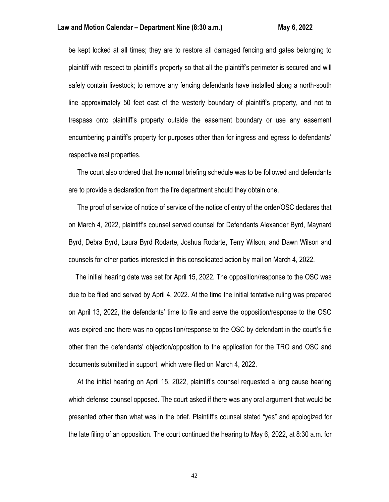be kept locked at all times; they are to restore all damaged fencing and gates belonging to plaintiff with respect to plaintiff's property so that all the plaintiff's perimeter is secured and will safely contain livestock; to remove any fencing defendants have installed along a north-south line approximately 50 feet east of the westerly boundary of plaintiff's property, and not to trespass onto plaintiff's property outside the easement boundary or use any easement encumbering plaintiff's property for purposes other than for ingress and egress to defendants' respective real properties.

 The court also ordered that the normal briefing schedule was to be followed and defendants are to provide a declaration from the fire department should they obtain one.

 The proof of service of notice of service of the notice of entry of the order/OSC declares that on March 4, 2022, plaintiff's counsel served counsel for Defendants Alexander Byrd, Maynard Byrd, Debra Byrd, Laura Byrd Rodarte, Joshua Rodarte, Terry Wilson, and Dawn Wilson and counsels for other parties interested in this consolidated action by mail on March 4, 2022.

 The initial hearing date was set for April 15, 2022. The opposition/response to the OSC was due to be filed and served by April 4, 2022. At the time the initial tentative ruling was prepared on April 13, 2022, the defendants' time to file and serve the opposition/response to the OSC was expired and there was no opposition/response to the OSC by defendant in the court's file other than the defendants' objection/opposition to the application for the TRO and OSC and documents submitted in support, which were filed on March 4, 2022.

 At the initial hearing on April 15, 2022, plaintiff's counsel requested a long cause hearing which defense counsel opposed. The court asked if there was any oral argument that would be presented other than what was in the brief. Plaintiff's counsel stated "yes" and apologized for the late filing of an opposition. The court continued the hearing to May 6, 2022, at 8:30 a.m. for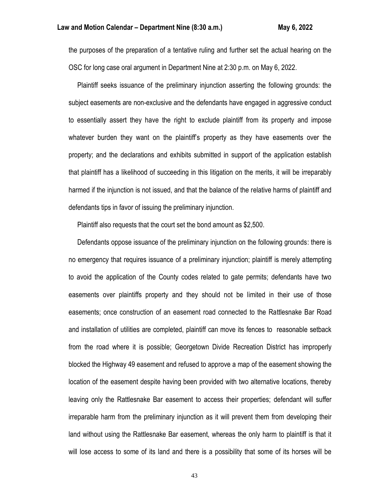the purposes of the preparation of a tentative ruling and further set the actual hearing on the OSC for long case oral argument in Department Nine at 2:30 p.m. on May 6, 2022.

 Plaintiff seeks issuance of the preliminary injunction asserting the following grounds: the subject easements are non-exclusive and the defendants have engaged in aggressive conduct to essentially assert they have the right to exclude plaintiff from its property and impose whatever burden they want on the plaintiff's property as they have easements over the property; and the declarations and exhibits submitted in support of the application establish that plaintiff has a likelihood of succeeding in this litigation on the merits, it will be irreparably harmed if the injunction is not issued, and that the balance of the relative harms of plaintiff and defendants tips in favor of issuing the preliminary injunction.

Plaintiff also requests that the court set the bond amount as \$2,500.

 Defendants oppose issuance of the preliminary injunction on the following grounds: there is no emergency that requires issuance of a preliminary injunction; plaintiff is merely attempting to avoid the application of the County codes related to gate permits; defendants have two easements over plaintiffs property and they should not be limited in their use of those easements; once construction of an easement road connected to the Rattlesnake Bar Road and installation of utilities are completed, plaintiff can move its fences to reasonable setback from the road where it is possible; Georgetown Divide Recreation District has improperly blocked the Highway 49 easement and refused to approve a map of the easement showing the location of the easement despite having been provided with two alternative locations, thereby leaving only the Rattlesnake Bar easement to access their properties; defendant will suffer irreparable harm from the preliminary injunction as it will prevent them from developing their land without using the Rattlesnake Bar easement, whereas the only harm to plaintiff is that it will lose access to some of its land and there is a possibility that some of its horses will be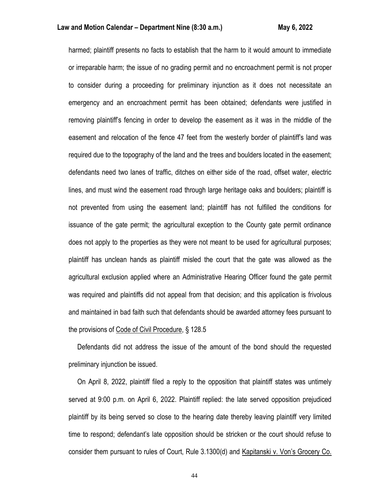harmed; plaintiff presents no facts to establish that the harm to it would amount to immediate or irreparable harm; the issue of no grading permit and no encroachment permit is not proper to consider during a proceeding for preliminary injunction as it does not necessitate an emergency and an encroachment permit has been obtained; defendants were justified in removing plaintiff's fencing in order to develop the easement as it was in the middle of the easement and relocation of the fence 47 feet from the westerly border of plaintiff's land was required due to the topography of the land and the trees and boulders located in the easement; defendants need two lanes of traffic, ditches on either side of the road, offset water, electric lines, and must wind the easement road through large heritage oaks and boulders; plaintiff is not prevented from using the easement land; plaintiff has not fulfilled the conditions for issuance of the gate permit; the agricultural exception to the County gate permit ordinance does not apply to the properties as they were not meant to be used for agricultural purposes; plaintiff has unclean hands as plaintiff misled the court that the gate was allowed as the agricultural exclusion applied where an Administrative Hearing Officer found the gate permit was required and plaintiffs did not appeal from that decision; and this application is frivolous and maintained in bad faith such that defendants should be awarded attorney fees pursuant to the provisions of Code of Civil Procedure, § 128.5

 Defendants did not address the issue of the amount of the bond should the requested preliminary injunction be issued.

 On April 8, 2022, plaintiff filed a reply to the opposition that plaintiff states was untimely served at 9:00 p.m. on April 6, 2022. Plaintiff replied: the late served opposition prejudiced plaintiff by its being served so close to the hearing date thereby leaving plaintiff very limited time to respond; defendant's late opposition should be stricken or the court should refuse to consider them pursuant to rules of Court, Rule 3.1300(d) and Kapitanski v. Von's Grocery Co.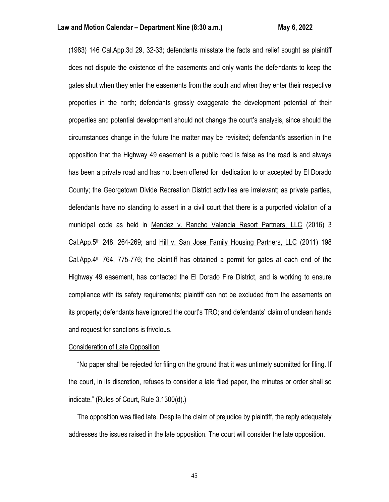(1983) 146 Cal.App.3d 29, 32-33; defendants misstate the facts and relief sought as plaintiff does not dispute the existence of the easements and only wants the defendants to keep the gates shut when they enter the easements from the south and when they enter their respective properties in the north; defendants grossly exaggerate the development potential of their properties and potential development should not change the court's analysis, since should the circumstances change in the future the matter may be revisited; defendant's assertion in the opposition that the Highway 49 easement is a public road is false as the road is and always has been a private road and has not been offered for dedication to or accepted by El Dorado County; the Georgetown Divide Recreation District activities are irrelevant; as private parties, defendants have no standing to assert in a civil court that there is a purported violation of a municipal code as held in Mendez v. Rancho Valencia Resort Partners, LLC (2016) 3 Cal.App.5<sup>th</sup> 248, 264-269; and Hill v. San Jose Family Housing Partners, LLC (2011) 198 Cal.App. $4<sup>th</sup>$  764, 775-776; the plaintiff has obtained a permit for gates at each end of the Highway 49 easement, has contacted the El Dorado Fire District, and is working to ensure compliance with its safety requirements; plaintiff can not be excluded from the easements on its property; defendants have ignored the court's TRO; and defendants' claim of unclean hands and request for sanctions is frivolous.

# Consideration of Late Opposition

 "No paper shall be rejected for filing on the ground that it was untimely submitted for filing. If the court, in its discretion, refuses to consider a late filed paper, the minutes or order shall so indicate." (Rules of Court, Rule 3.1300(d).)

 The opposition was filed late. Despite the claim of prejudice by plaintiff, the reply adequately addresses the issues raised in the late opposition. The court will consider the late opposition.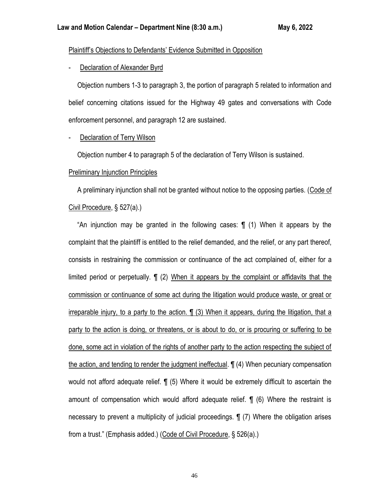# Plaintiff's Objections to Defendants' Evidence Submitted in Opposition

# Declaration of Alexander Byrd

 Objection numbers 1-3 to paragraph 3, the portion of paragraph 5 related to information and belief concerning citations issued for the Highway 49 gates and conversations with Code enforcement personnel, and paragraph 12 are sustained.

# Declaration of Terry Wilson

Objection number 4 to paragraph 5 of the declaration of Terry Wilson is sustained.

# Preliminary Injunction Principles

 A preliminary injunction shall not be granted without notice to the opposing parties. (Code of Civil Procedure, § 527(a).)

 "An injunction may be granted in the following cases: ¶ (1) When it appears by the complaint that the plaintiff is entitled to the relief demanded, and the relief, or any part thereof, consists in restraining the commission or continuance of the act complained of, either for a limited period or perpetually. ¶ (2) When it appears by the complaint or affidavits that the commission or continuance of some act during the litigation would produce waste, or great or irreparable injury, to a party to the action. ¶ (3) When it appears, during the litigation, that a party to the action is doing, or threatens, or is about to do, or is procuring or suffering to be done, some act in violation of the rights of another party to the action respecting the subject of the action, and tending to render the judgment ineffectual. ¶ (4) When pecuniary compensation would not afford adequate relief. ¶ (5) Where it would be extremely difficult to ascertain the amount of compensation which would afford adequate relief. ¶ (6) Where the restraint is necessary to prevent a multiplicity of judicial proceedings. ¶ (7) Where the obligation arises from a trust." (Emphasis added.) (Code of Civil Procedure, § 526(a).)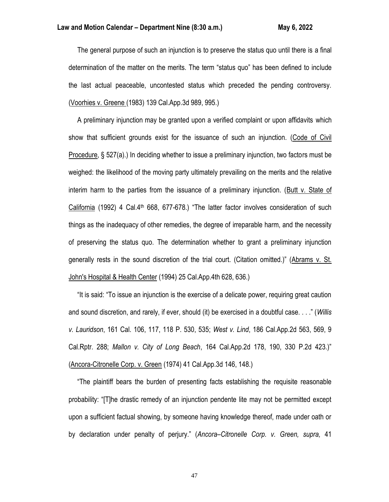The general purpose of such an injunction is to preserve the status quo until there is a final determination of the matter on the merits. The term "status quo" has been defined to include the last actual peaceable, uncontested status which preceded the pending controversy. (Voorhies v. Greene (1983) 139 Cal.App.3d 989, 995.)

 A preliminary injunction may be granted upon a verified complaint or upon affidavits which show that sufficient grounds exist for the issuance of such an injunction. (Code of Civil Procedure, § 527(a).) In deciding whether to issue a preliminary injunction, two factors must be weighed: the likelihood of the moving party ultimately prevailing on the merits and the relative interim harm to the parties from the issuance of a preliminary injunction. (Butt v. State of California (1992) 4 Cal.4<sup>th</sup> 668, 677-678.) "The latter factor involves consideration of such things as the inadequacy of other remedies, the degree of irreparable harm, and the necessity of preserving the status quo. The determination whether to grant a preliminary injunction generally rests in the sound discretion of the trial court. (Citation omitted.)" (Abrams v. St. John's Hospital & Health Center (1994) 25 Cal.App.4th 628, 636.)

 "It is said: "To issue an injunction is the exercise of a delicate power, requiring great caution and sound discretion, and rarely, if ever, should (it) be exercised in a doubtful case. . . ." (*Willis v. Lauridson*, 161 Cal. 106, 117, 118 P. 530, 535; *West v. Lind*, 186 Cal.App.2d 563, 569, 9 Cal.Rptr. 288; *Mallon v. City of Long Beach*, 164 Cal.App.2d 178, 190, 330 P.2d 423.)" (Ancora-Citronelle Corp. v. Green (1974) 41 Cal.App.3d 146, 148.)

 "The plaintiff bears the burden of presenting facts establishing the requisite reasonable probability: "[T]he drastic remedy of an injunction pendente lite may not be permitted except upon a sufficient factual showing, by someone having knowledge thereof, made under oath or by declaration under penalty of perjury." (*Ancora–Citronelle Corp. v. Green, supra,* 41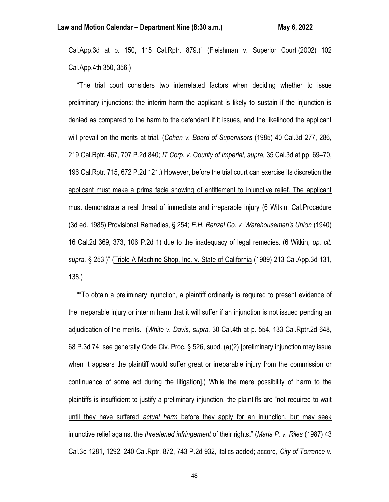Cal.App.3d at p. 150, 115 Cal.Rptr. 879.)" (Fleishman v. Superior Court (2002) 102 Cal.App.4th 350, 356.)

 "The trial court considers two interrelated factors when deciding whether to issue preliminary injunctions: the interim harm the applicant is likely to sustain if the injunction is denied as compared to the harm to the defendant if it issues, and the likelihood the applicant will prevail on the merits at trial. (*Cohen v. Board of Supervisors* (1985) 40 Cal.3d 277, 286, 219 Cal.Rptr. 467, 707 P.2d 840; *IT Corp. v. County of Imperial, supra,* 35 Cal.3d at pp. 69–70, 196 Cal.Rptr. 715, 672 P.2d 121.) However, before the trial court can exercise its discretion the applicant must make a prima facie showing of entitlement to injunctive relief. The applicant must demonstrate a real threat of immediate and irreparable injury (6 Witkin, Cal.Procedure (3d ed. 1985) Provisional Remedies, § 254; *E.H. Renzel Co. v. Warehousemen's Union* (1940) 16 Cal.2d 369, 373, 106 P.2d 1) due to the inadequacy of legal remedies. (6 Witkin, *op. cit. supra,* § 253.)" (Triple A Machine Shop, Inc. v. State of California (1989) 213 Cal.App.3d 131, 138.)

 ""To obtain a preliminary injunction, a plaintiff ordinarily is required to present evidence of the irreparable injury or interim harm that it will suffer if an injunction is not issued pending an adjudication of the merits." (*White v. Davis, supra,* 30 Cal.4th at p. 554, 133 Cal.Rptr.2d 648, 68 P.3d 74; see generally Code Civ. Proc. § 526, subd. (a)(2) [preliminary injunction may issue when it appears the plaintiff would suffer great or irreparable injury from the commission or continuance of some act during the litigation].) While the mere possibility of harm to the plaintiffs is insufficient to justify a preliminary injunction, the plaintiffs are "not required to wait until they have suffered *actual harm* before they apply for an injunction, but may seek injunctive relief against the *threatened infringement* of their rights." (*Maria P. v. Riles* (1987) 43 Cal.3d 1281, 1292, 240 Cal.Rptr. 872, 743 P.2d 932, italics added; accord, *City of Torrance v.*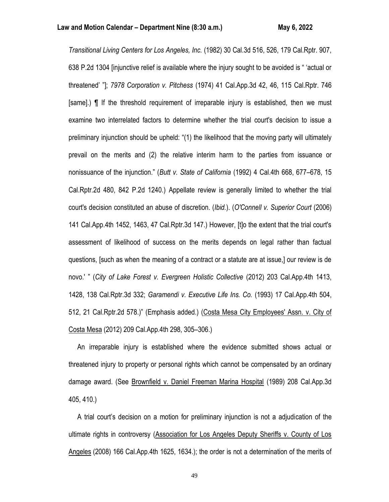*Transitional Living Centers for Los Angeles, Inc.* (1982) 30 Cal.3d 516, 526, 179 Cal.Rptr. 907, 638 P.2d 1304 [injunctive relief is available where the injury sought to be avoided is " 'actual or threatened' "]; *7978 Corporation v. Pitchess* (1974) 41 Cal.App.3d 42, 46, 115 Cal.Rptr. 746 [same].) ¶ If the threshold requirement of irreparable injury is established, then we must examine two interrelated factors to determine whether the trial court's decision to issue a preliminary injunction should be upheld: "(1) the likelihood that the moving party will ultimately prevail on the merits and (2) the relative interim harm to the parties from issuance or nonissuance of the injunction." (*Butt v. State of California* (1992) 4 Cal.4th 668, 677–678, 15 Cal.Rptr.2d 480, 842 P.2d 1240.) Appellate review is generally limited to whether the trial court's decision constituted an abuse of discretion. (*Ibid.*). (*O'Connell v. Superior Court* (2006) 141 Cal.App.4th 1452, 1463, 47 Cal.Rptr.3d 147.) However, [t]o the extent that the trial court's assessment of likelihood of success on the merits depends on legal rather than factual questions, [such as when the meaning of a contract or a statute are at issue,] our review is de novo.' " (*City of Lake Forest v. Evergreen Holistic Collective* (2012) 203 Cal.App.4th 1413, 1428, 138 Cal.Rptr.3d 332; *Garamendi v. Executive Life Ins. Co.* (1993) 17 Cal.App.4th 504, 512, 21 Cal.Rptr.2d 578.)" (Emphasis added.) (Costa Mesa City Employees' Assn. v. City of Costa Mesa (2012) 209 Cal.App.4th 298, 305–306.)

 An irreparable injury is established where the evidence submitted shows actual or threatened injury to property or personal rights which cannot be compensated by an ordinary damage award. (See Brownfield v. Daniel Freeman Marina Hospital (1989) 208 Cal.App.3d 405, 410.)

 A trial court's decision on a motion for preliminary injunction is not a adjudication of the ultimate rights in controversy (Association for Los Angeles Deputy Sheriffs v. County of Los Angeles (2008) 166 Cal.App.4th 1625, 1634.); the order is not a determination of the merits of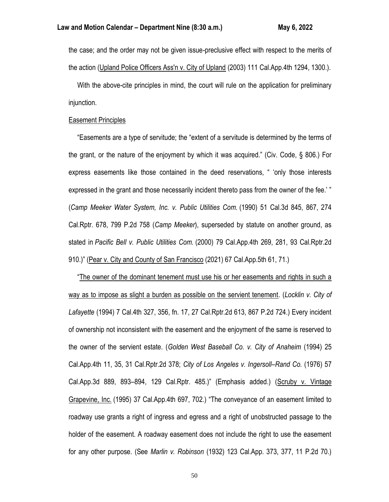the case; and the order may not be given issue-preclusive effect with respect to the merits of the action (Upland Police Officers Ass'n v. City of Upland (2003) 111 Cal.App.4th 1294, 1300.).

 With the above-cite principles in mind, the court will rule on the application for preliminary injunction.

# Easement Principles

 "Easements are a type of servitude; the "extent of a servitude is determined by the terms of the grant, or the nature of the enjoyment by which it was acquired." (Civ. Code, § 806.) For express easements like those contained in the deed reservations, " 'only those interests expressed in the grant and those necessarily incident thereto pass from the owner of the fee.' " (*Camp Meeker Water System, Inc. v. Public Utilities Com.* (1990) 51 Cal.3d 845, 867, 274 Cal.Rptr. 678, 799 P.2d 758 (*Camp Meeker*), superseded by statute on another ground, as stated in *Pacific Bell v. Public Utilities Com.* (2000) 79 Cal.App.4th 269, 281, 93 Cal.Rptr.2d 910.)" (Pear v. City and County of San Francisco (2021) 67 Cal.App.5th 61, 71.)

 "The owner of the dominant tenement must use his or her easements and rights in such a way as to impose as slight a burden as possible on the servient tenement. (*Locklin v. City of Lafayette* (1994) 7 Cal.4th 327, 356, fn. 17, 27 Cal.Rptr.2d 613, 867 P.2d 724.) Every incident of ownership not inconsistent with the easement and the enjoyment of the same is reserved to the owner of the servient estate. (*Golden West Baseball Co. v. City of Anaheim* (1994) 25 Cal.App.4th 11, 35, 31 Cal.Rptr.2d 378; *City of Los Angeles v. Ingersoll–Rand Co.* (1976) 57 Cal.App.3d 889, 893–894, 129 Cal.Rptr. 485.)" (Emphasis added.) (Scruby v. Vintage Grapevine, Inc. (1995) 37 Cal.App.4th 697, 702.) "The conveyance of an easement limited to roadway use grants a right of ingress and egress and a right of unobstructed passage to the holder of the easement. A roadway easement does not include the right to use the easement for any other purpose. (See *Marlin v. Robinson* (1932) 123 Cal.App. 373, 377, 11 P.2d 70.)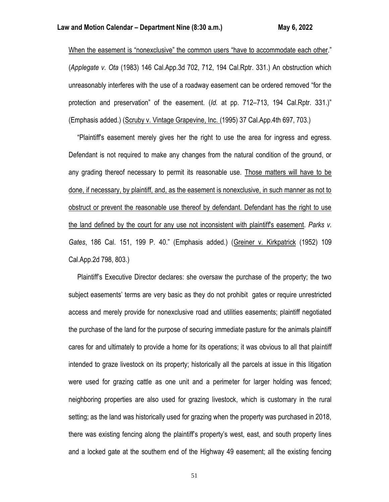When the easement is "nonexclusive" the common users "have to accommodate each other." (*Applegate v. Ota* (1983) 146 Cal.App.3d 702, 712, 194 Cal.Rptr. 331.) An obstruction which unreasonably interferes with the use of a roadway easement can be ordered removed "for the protection and preservation" of the easement. (*Id.* at pp. 712–713, 194 Cal.Rptr. 331.)" (Emphasis added.) (Scruby v. Vintage Grapevine, Inc. (1995) 37 Cal.App.4th 697, 703.)

 "Plaintiff's easement merely gives her the right to use the area for ingress and egress. Defendant is not required to make any changes from the natural condition of the ground, or any grading thereof necessary to permit its reasonable use. Those matters will have to be done, if necessary, by plaintiff, and, as the easement is nonexclusive, in such manner as not to obstruct or prevent the reasonable use thereof by defendant. Defendant has the right to use the land defined by the court for any use not inconsistent with plaintiff's easement. *Parks v. Gates*, 186 Cal. 151, 199 P. 40." (Emphasis added.) (Greiner v. Kirkpatrick (1952) 109 Cal.App.2d 798, 803.)

 Plaintiff's Executive Director declares: she oversaw the purchase of the property; the two subject easements' terms are very basic as they do not prohibit gates or require unrestricted access and merely provide for nonexclusive road and utilities easements; plaintiff negotiated the purchase of the land for the purpose of securing immediate pasture for the animals plaintiff cares for and ultimately to provide a home for its operations; it was obvious to all that plaintiff intended to graze livestock on its property; historically all the parcels at issue in this litigation were used for grazing cattle as one unit and a perimeter for larger holding was fenced; neighboring properties are also used for grazing livestock, which is customary in the rural setting; as the land was historically used for grazing when the property was purchased in 2018, there was existing fencing along the plaintiff's property's west, east, and south property lines and a locked gate at the southern end of the Highway 49 easement; all the existing fencing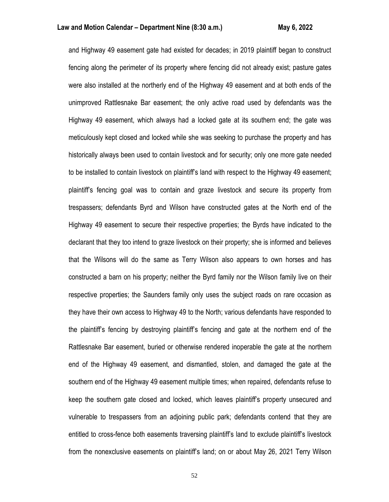and Highway 49 easement gate had existed for decades; in 2019 plaintiff began to construct fencing along the perimeter of its property where fencing did not already exist; pasture gates were also installed at the northerly end of the Highway 49 easement and at both ends of the unimproved Rattlesnake Bar easement; the only active road used by defendants was the Highway 49 easement, which always had a locked gate at its southern end; the gate was meticulously kept closed and locked while she was seeking to purchase the property and has historically always been used to contain livestock and for security; only one more gate needed to be installed to contain livestock on plaintiff's land with respect to the Highway 49 easement; plaintiff's fencing goal was to contain and graze livestock and secure its property from trespassers; defendants Byrd and Wilson have constructed gates at the North end of the Highway 49 easement to secure their respective properties; the Byrds have indicated to the declarant that they too intend to graze livestock on their property; she is informed and believes that the Wilsons will do the same as Terry Wilson also appears to own horses and has constructed a barn on his property; neither the Byrd family nor the Wilson family live on their respective properties; the Saunders family only uses the subject roads on rare occasion as they have their own access to Highway 49 to the North; various defendants have responded to the plaintiff's fencing by destroying plaintiff's fencing and gate at the northern end of the Rattlesnake Bar easement, buried or otherwise rendered inoperable the gate at the northern end of the Highway 49 easement, and dismantled, stolen, and damaged the gate at the southern end of the Highway 49 easement multiple times; when repaired, defendants refuse to keep the southern gate closed and locked, which leaves plaintiff's property unsecured and vulnerable to trespassers from an adjoining public park; defendants contend that they are entitled to cross-fence both easements traversing plaintiff's land to exclude plaintiff's livestock from the nonexclusive easements on plaintiff's land; on or about May 26, 2021 Terry Wilson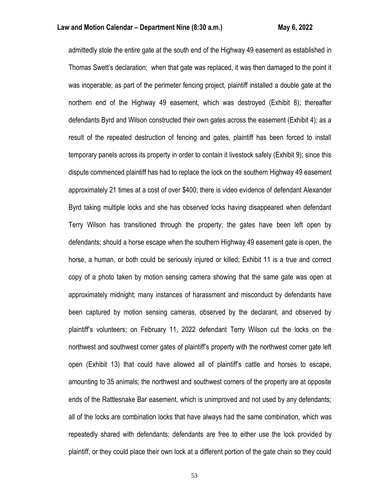admittedly stole the entire gate at the south end of the Highway 49 easement as established in Thomas Swett's declaration; when that gate was replaced, it was then damaged to the point it was inoperable; as part of the perimeter fencing project, plaintiff installed a double gate at the northern end of the Highway 49 easement, which was destroyed (Exhibit 8); thereafter defendants Byrd and Wilson constructed their own gates across the easement (Exhibit 4); as a result of the repeated destruction of fencing and gates, plaintiff has been forced to install temporary panels across its property in order to contain it livestock safely (Exhibit 9); since this dispute commenced plaintiff has had to replace the lock on the southern Highway 49 easement approximately 21 times at a cost of over \$400; there is video evidence of defendant Alexander Byrd taking multiple locks and she has observed locks having disappeared when defendant Terry Wilson has transitioned through the property; the gates have been left open by defendants; should a horse escape when the southern Highway 49 easement gate is open, the horse, a human, or both could be seriously injured or killed; Exhibit 11 is a true and correct copy of a photo taken by motion sensing camera showing that the same gate was open at approximately midnight; many instances of harassment and misconduct by defendants have been captured by motion sensing cameras, observed by the declarant, and observed by plaintiff's volunteers; on February 11, 2022 defendant Terry Wilson cut the locks on the northwest and southwest corner gates of plaintiff's property with the northwest corner gate left open (Exhibit 13) that could have allowed all of plaintiff's cattle and horses to escape, amounting to 35 animals; the northwest and southwest corners of the property are at opposite ends of the Rattlesnake Bar easement, which is unimproved and not used by any defendants; all of the locks are combination locks that have always had the same combination, which was repeatedly shared with defendants; defendants are free to either use the lock provided by plaintiff, or they could place their own lock at a different portion of the gate chain so they could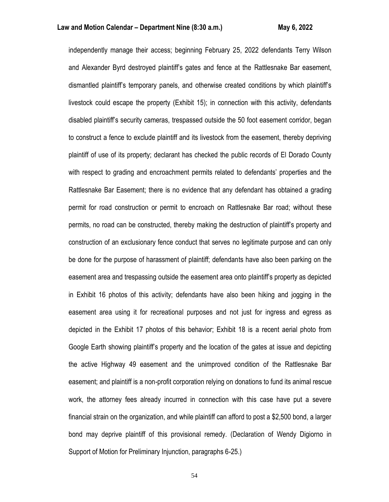independently manage their access; beginning February 25, 2022 defendants Terry Wilson and Alexander Byrd destroyed plaintiff's gates and fence at the Rattlesnake Bar easement, dismantled plaintiff's temporary panels, and otherwise created conditions by which plaintiff's livestock could escape the property (Exhibit 15); in connection with this activity, defendants disabled plaintiff's security cameras, trespassed outside the 50 foot easement corridor, began to construct a fence to exclude plaintiff and its livestock from the easement, thereby depriving plaintiff of use of its property; declarant has checked the public records of El Dorado County with respect to grading and encroachment permits related to defendants' properties and the Rattlesnake Bar Easement; there is no evidence that any defendant has obtained a grading permit for road construction or permit to encroach on Rattlesnake Bar road; without these permits, no road can be constructed, thereby making the destruction of plaintiff's property and construction of an exclusionary fence conduct that serves no legitimate purpose and can only be done for the purpose of harassment of plaintiff; defendants have also been parking on the easement area and trespassing outside the easement area onto plaintiff's property as depicted in Exhibit 16 photos of this activity; defendants have also been hiking and jogging in the easement area using it for recreational purposes and not just for ingress and egress as depicted in the Exhibit 17 photos of this behavior; Exhibit 18 is a recent aerial photo from Google Earth showing plaintiff's property and the location of the gates at issue and depicting the active Highway 49 easement and the unimproved condition of the Rattlesnake Bar easement; and plaintiff is a non-profit corporation relying on donations to fund its animal rescue work, the attorney fees already incurred in connection with this case have put a severe financial strain on the organization, and while plaintiff can afford to post a \$2,500 bond, a larger bond may deprive plaintiff of this provisional remedy. (Declaration of Wendy Digiorno in Support of Motion for Preliminary Injunction, paragraphs 6-25.)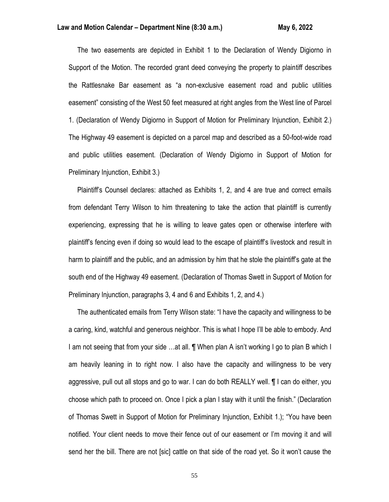The two easements are depicted in Exhibit 1 to the Declaration of Wendy Digiorno in Support of the Motion. The recorded grant deed conveying the property to plaintiff describes the Rattlesnake Bar easement as "a non-exclusive easement road and public utilities easement" consisting of the West 50 feet measured at right angles from the West line of Parcel 1. (Declaration of Wendy Digiorno in Support of Motion for Preliminary Injunction, Exhibit 2.) The Highway 49 easement is depicted on a parcel map and described as a 50-foot-wide road and public utilities easement. (Declaration of Wendy Digiorno in Support of Motion for Preliminary Injunction, Exhibit 3.)

 Plaintiff's Counsel declares: attached as Exhibits 1, 2, and 4 are true and correct emails from defendant Terry Wilson to him threatening to take the action that plaintiff is currently experiencing, expressing that he is willing to leave gates open or otherwise interfere with plaintiff's fencing even if doing so would lead to the escape of plaintiff's livestock and result in harm to plaintiff and the public, and an admission by him that he stole the plaintiff's gate at the south end of the Highway 49 easement. (Declaration of Thomas Swett in Support of Motion for Preliminary Injunction, paragraphs 3, 4 and 6 and Exhibits 1, 2, and 4.)

 The authenticated emails from Terry Wilson state: "I have the capacity and willingness to be a caring, kind, watchful and generous neighbor. This is what I hope I'll be able to embody. And I am not seeing that from your side …at all. ¶ When plan A isn't working I go to plan B which I am heavily leaning in to right now. I also have the capacity and willingness to be very aggressive, pull out all stops and go to war. I can do both REALLY well. ¶ I can do either, you choose which path to proceed on. Once I pick a plan I stay with it until the finish." (Declaration of Thomas Swett in Support of Motion for Preliminary Injunction, Exhibit 1.); "You have been notified. Your client needs to move their fence out of our easement or I'm moving it and will send her the bill. There are not [sic] cattle on that side of the road yet. So it won't cause the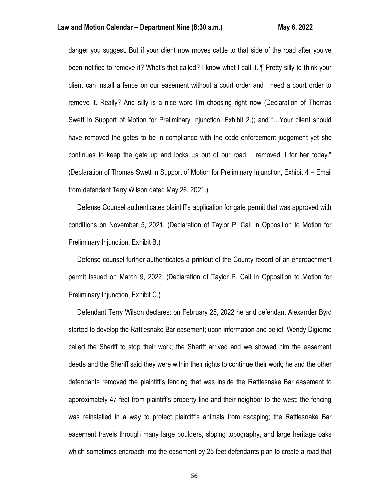danger you suggest. But if your client now moves cattle to that side of the road after you've been notified to remove it? What's that called? I know what I call it. ¶ Pretty silly to think your client can install a fence on our easement without a court order and I need a court order to remove it. Really? And silly is a nice word I'm choosing right now (Declaration of Thomas Swett in Support of Motion for Preliminary Injunction, Exhibit 2.); and "…Your client should have removed the gates to be in compliance with the code enforcement judgement yet she continues to keep the gate up and locks us out of our road. I removed it for her today." (Declaration of Thomas Swett in Support of Motion for Preliminary Injunction, Exhibit 4 – Email from defendant Terry Wilson dated May 26, 2021.)

 Defense Counsel authenticates plaintiff's application for gate permit that was approved with conditions on November 5, 2021. (Declaration of Taylor P. Call in Opposition to Motion for Preliminary Injunction, Exhibit B.)

 Defense counsel further authenticates a printout of the County record of an encroachment permit issued on March 9, 2022. (Declaration of Taylor P. Call in Opposition to Motion for Preliminary Injunction, Exhibit C.)

 Defendant Terry Wilson declares: on February 25, 2022 he and defendant Alexander Byrd started to develop the Rattlesnake Bar easement; upon information and belief, Wendy Digiorno called the Sheriff to stop their work; the Sheriff arrived and we showed him the easement deeds and the Sheriff said they were within their rights to continue their work; he and the other defendants removed the plaintiff's fencing that was inside the Rattlesnake Bar easement to approximately 47 feet from plaintiff's property line and their neighbor to the west; the fencing was reinstalled in a way to protect plaintiff's animals from escaping; the Rattlesnake Bar easement travels through many large boulders, sloping topography, and large heritage oaks which sometimes encroach into the easement by 25 feet defendants plan to create a road that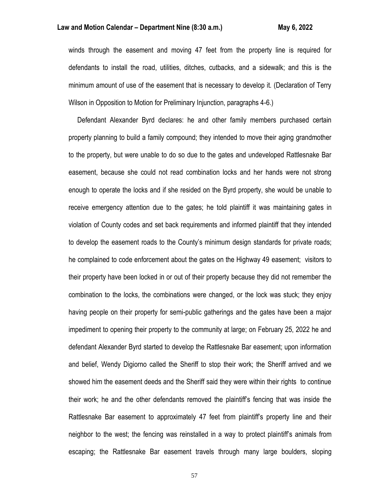winds through the easement and moving 47 feet from the property line is required for defendants to install the road, utilities, ditches, cutbacks, and a sidewalk; and this is the minimum amount of use of the easement that is necessary to develop it. (Declaration of Terry Wilson in Opposition to Motion for Preliminary Injunction, paragraphs 4-6.)

 Defendant Alexander Byrd declares: he and other family members purchased certain property planning to build a family compound; they intended to move their aging grandmother to the property, but were unable to do so due to the gates and undeveloped Rattlesnake Bar easement, because she could not read combination locks and her hands were not strong enough to operate the locks and if she resided on the Byrd property, she would be unable to receive emergency attention due to the gates; he told plaintiff it was maintaining gates in violation of County codes and set back requirements and informed plaintiff that they intended to develop the easement roads to the County's minimum design standards for private roads; he complained to code enforcement about the gates on the Highway 49 easement; visitors to their property have been locked in or out of their property because they did not remember the combination to the locks, the combinations were changed, or the lock was stuck; they enjoy having people on their property for semi-public gatherings and the gates have been a major impediment to opening their property to the community at large; on February 25, 2022 he and defendant Alexander Byrd started to develop the Rattlesnake Bar easement; upon information and belief, Wendy Digiorno called the Sheriff to stop their work; the Sheriff arrived and we showed him the easement deeds and the Sheriff said they were within their rights to continue their work; he and the other defendants removed the plaintiff's fencing that was inside the Rattlesnake Bar easement to approximately 47 feet from plaintiff's property line and their neighbor to the west; the fencing was reinstalled in a way to protect plaintiff's animals from escaping; the Rattlesnake Bar easement travels through many large boulders, sloping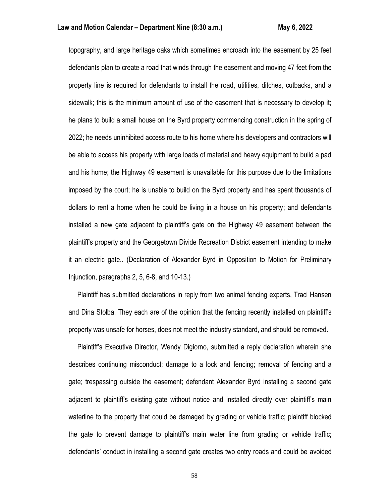topography, and large heritage oaks which sometimes encroach into the easement by 25 feet defendants plan to create a road that winds through the easement and moving 47 feet from the property line is required for defendants to install the road, utilities, ditches, cutbacks, and a sidewalk; this is the minimum amount of use of the easement that is necessary to develop it; he plans to build a small house on the Byrd property commencing construction in the spring of 2022; he needs uninhibited access route to his home where his developers and contractors will be able to access his property with large loads of material and heavy equipment to build a pad and his home; the Highway 49 easement is unavailable for this purpose due to the limitations imposed by the court; he is unable to build on the Byrd property and has spent thousands of dollars to rent a home when he could be living in a house on his property; and defendants installed a new gate adjacent to plaintiff's gate on the Highway 49 easement between the plaintiff's property and the Georgetown Divide Recreation District easement intending to make it an electric gate.. (Declaration of Alexander Byrd in Opposition to Motion for Preliminary Injunction, paragraphs 2, 5, 6-8, and 10-13.)

 Plaintiff has submitted declarations in reply from two animal fencing experts, Traci Hansen and Dina Stolba. They each are of the opinion that the fencing recently installed on plaintiff's property was unsafe for horses, does not meet the industry standard, and should be removed.

 Plaintiff's Executive Director, Wendy Digiorno, submitted a reply declaration wherein she describes continuing misconduct; damage to a lock and fencing; removal of fencing and a gate; trespassing outside the easement; defendant Alexander Byrd installing a second gate adjacent to plaintiff's existing gate without notice and installed directly over plaintiff's main waterline to the property that could be damaged by grading or vehicle traffic; plaintiff blocked the gate to prevent damage to plaintiff's main water line from grading or vehicle traffic; defendants' conduct in installing a second gate creates two entry roads and could be avoided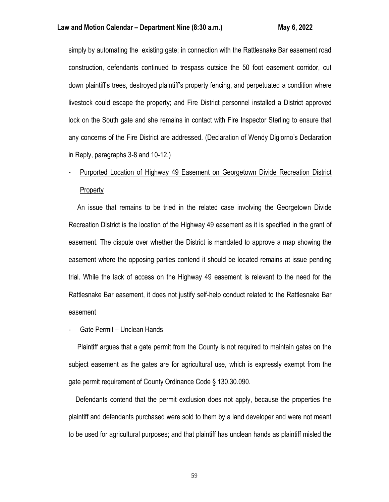simply by automating the existing gate; in connection with the Rattlesnake Bar easement road construction, defendants continued to trespass outside the 50 foot easement corridor, cut down plaintiff's trees, destroyed plaintiff's property fencing, and perpetuated a condition where livestock could escape the property; and Fire District personnel installed a District approved lock on the South gate and she remains in contact with Fire Inspector Sterling to ensure that any concerns of the Fire District are addressed. (Declaration of Wendy Digiorno's Declaration in Reply, paragraphs 3-8 and 10-12.)

# - Purported Location of Highway 49 Easement on Georgetown Divide Recreation District Property

 An issue that remains to be tried in the related case involving the Georgetown Divide Recreation District is the location of the Highway 49 easement as it is specified in the grant of easement. The dispute over whether the District is mandated to approve a map showing the easement where the opposing parties contend it should be located remains at issue pending trial. While the lack of access on the Highway 49 easement is relevant to the need for the Rattlesnake Bar easement, it does not justify self-help conduct related to the Rattlesnake Bar easement

#### - Gate Permit – Unclean Hands

 Plaintiff argues that a gate permit from the County is not required to maintain gates on the subject easement as the gates are for agricultural use, which is expressly exempt from the gate permit requirement of County Ordinance Code § 130.30.090.

 Defendants contend that the permit exclusion does not apply, because the properties the plaintiff and defendants purchased were sold to them by a land developer and were not meant to be used for agricultural purposes; and that plaintiff has unclean hands as plaintiff misled the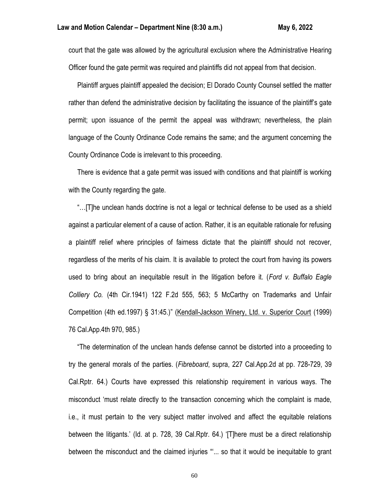court that the gate was allowed by the agricultural exclusion where the Administrative Hearing Officer found the gate permit was required and plaintiffs did not appeal from that decision.

 Plaintiff argues plaintiff appealed the decision; El Dorado County Counsel settled the matter rather than defend the administrative decision by facilitating the issuance of the plaintiff's gate permit; upon issuance of the permit the appeal was withdrawn; nevertheless, the plain language of the County Ordinance Code remains the same; and the argument concerning the County Ordinance Code is irrelevant to this proceeding.

 There is evidence that a gate permit was issued with conditions and that plaintiff is working with the County regarding the gate.

 "…[T]he unclean hands doctrine is not a legal or technical defense to be used as a shield against a particular element of a cause of action. Rather, it is an equitable rationale for refusing a plaintiff relief where principles of fairness dictate that the plaintiff should not recover, regardless of the merits of his claim. It is available to protect the court from having its powers used to bring about an inequitable result in the litigation before it. (*Ford v. Buffalo Eagle Colliery Co.* (4th Cir.1941) 122 F.2d 555, 563; 5 McCarthy on Trademarks and Unfair Competition (4th ed.1997) § 31:45.)" (Kendall-Jackson Winery, Ltd. v. Superior Court (1999) 76 Cal.App.4th 970, 985.)

 "The determination of the unclean hands defense cannot be distorted into a proceeding to try the general morals of the parties. (*Fibreboard*, supra, 227 Cal.App.2d at pp. 728-729, 39 Cal.Rptr. 64.) Courts have expressed this relationship requirement in various ways. The misconduct 'must relate directly to the transaction concerning which the complaint is made, i.e., it must pertain to the very subject matter involved and affect the equitable relations between the litigants.' (Id. at p. 728, 39 Cal.Rptr. 64.) '[T]here must be a direct relationship between the misconduct and the claimed injuries "'... so that it would be inequitable to grant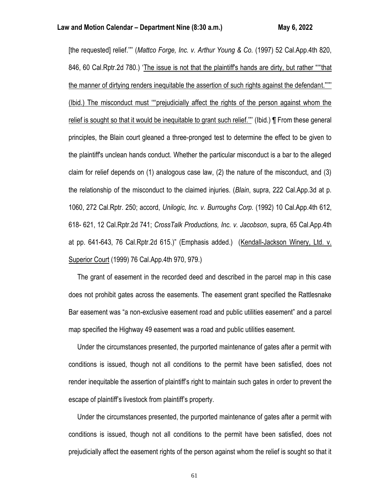[the requested] relief.'"' (*Mattco Forge, Inc. v. Arthur Young & Co.* (1997) 52 Cal.App.4th 820, 846, 60 Cal.Rptr.2d 780.) 'The issue is not that the plaintiff's hands are dirty, but rather ""that the manner of dirtying renders inequitable the assertion of such rights against the defendant."'"' (Ibid.) The misconduct must '"'prejudicially affect the rights of the person against whom the relief is sought so that it would be inequitable to grant such relief."" (Ibid.) **[** From these general principles, the Blain court gleaned a three-pronged test to determine the effect to be given to the plaintiff's unclean hands conduct. Whether the particular misconduct is a bar to the alleged claim for relief depends on (1) analogous case law, (2) the nature of the misconduct, and (3) the relationship of the misconduct to the claimed injuries. (*Blain*, supra, 222 Cal.App.3d at p. 1060, 272 Cal.Rptr. 250; accord, *Unilogic, Inc. v. Burroughs Corp.* (1992) 10 Cal.App.4th 612, 618- 621, 12 Cal.Rptr.2d 741; *CrossTalk Productions, Inc. v. Jacobson*, supra, 65 Cal.App.4th at pp. 641-643, 76 Cal.Rptr.2d 615.)" (Emphasis added.) (Kendall-Jackson Winery, Ltd. v. Superior Court (1999) 76 Cal.App.4th 970, 979.)

 The grant of easement in the recorded deed and described in the parcel map in this case does not prohibit gates across the easements. The easement grant specified the Rattlesnake Bar easement was "a non-exclusive easement road and public utilities easement" and a parcel map specified the Highway 49 easement was a road and public utilities easement.

 Under the circumstances presented, the purported maintenance of gates after a permit with conditions is issued, though not all conditions to the permit have been satisfied, does not render inequitable the assertion of plaintiff's right to maintain such gates in order to prevent the escape of plaintiff's livestock from plaintiff's property.

 Under the circumstances presented, the purported maintenance of gates after a permit with conditions is issued, though not all conditions to the permit have been satisfied, does not prejudicially affect the easement rights of the person against whom the relief is sought so that it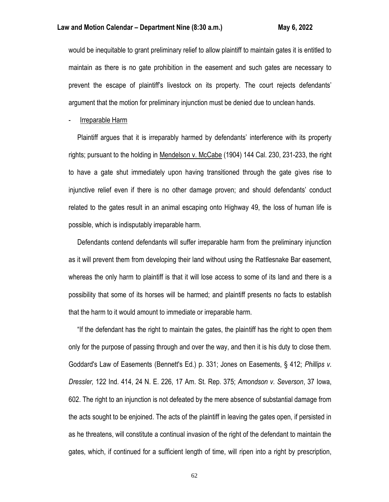would be inequitable to grant preliminary relief to allow plaintiff to maintain gates it is entitled to maintain as there is no gate prohibition in the easement and such gates are necessary to prevent the escape of plaintiff's livestock on its property. The court rejects defendants' argument that the motion for preliminary injunction must be denied due to unclean hands.

# Irreparable Harm

 Plaintiff argues that it is irreparably harmed by defendants' interference with its property rights; pursuant to the holding in Mendelson v. McCabe (1904) 144 Cal. 230, 231-233, the right to have a gate shut immediately upon having transitioned through the gate gives rise to injunctive relief even if there is no other damage proven; and should defendants' conduct related to the gates result in an animal escaping onto Highway 49, the loss of human life is possible, which is indisputably irreparable harm.

 Defendants contend defendants will suffer irreparable harm from the preliminary injunction as it will prevent them from developing their land without using the Rattlesnake Bar easement, whereas the only harm to plaintiff is that it will lose access to some of its land and there is a possibility that some of its horses will be harmed; and plaintiff presents no facts to establish that the harm to it would amount to immediate or irreparable harm.

 "If the defendant has the right to maintain the gates, the plaintiff has the right to open them only for the purpose of passing through and over the way, and then it is his duty to close them. Goddard's Law of Easements (Bennett's Ed.) p. 331; Jones on Easements, § 412; *Phillips v. Dressler,* 122 Ind. 414, 24 N. E. 226, 17 Am. St. Rep. 375; *Amondson v. Severson*, 37 Iowa, 602. The right to an injunction is not defeated by the mere absence of substantial damage from the acts sought to be enjoined. The acts of the plaintiff in leaving the gates open, if persisted in as he threatens, will constitute a continual invasion of the right of the defendant to maintain the gates, which, if continued for a sufficient length of time, will ripen into a right by prescription,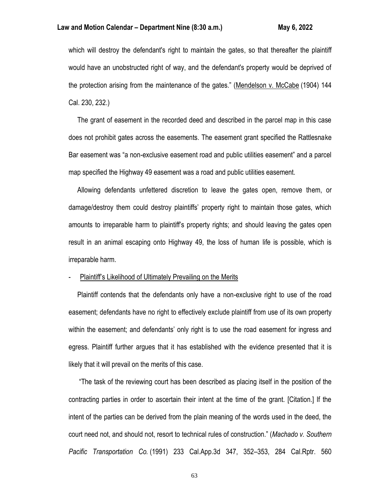# **Law and Motion Calendar – Department Nine (8:30 a.m.) May 6, 2022**

which will destroy the defendant's right to maintain the gates, so that thereafter the plaintiff would have an unobstructed right of way, and the defendant's property would be deprived of the protection arising from the maintenance of the gates." (Mendelson v. McCabe (1904) 144 Cal. 230, 232.)

 The grant of easement in the recorded deed and described in the parcel map in this case does not prohibit gates across the easements. The easement grant specified the Rattlesnake Bar easement was "a non-exclusive easement road and public utilities easement" and a parcel map specified the Highway 49 easement was a road and public utilities easement.

 Allowing defendants unfettered discretion to leave the gates open, remove them, or damage/destroy them could destroy plaintiffs' property right to maintain those gates, which amounts to irreparable harm to plaintiff's property rights; and should leaving the gates open result in an animal escaping onto Highway 49, the loss of human life is possible, which is irreparable harm.

# Plaintiff's Likelihood of Ultimately Prevailing on the Merits

 Plaintiff contends that the defendants only have a non-exclusive right to use of the road easement; defendants have no right to effectively exclude plaintiff from use of its own property within the easement; and defendants' only right is to use the road easement for ingress and egress. Plaintiff further argues that it has established with the evidence presented that it is likely that it will prevail on the merits of this case.

 "The task of the reviewing court has been described as placing itself in the position of the contracting parties in order to ascertain their intent at the time of the grant. [Citation.] If the intent of the parties can be derived from the plain meaning of the words used in the deed, the court need not, and should not, resort to technical rules of construction." (*Machado v. Southern Pacific Transportation Co.* (1991) 233 Cal.App.3d 347, 352–353, 284 Cal.Rptr. 560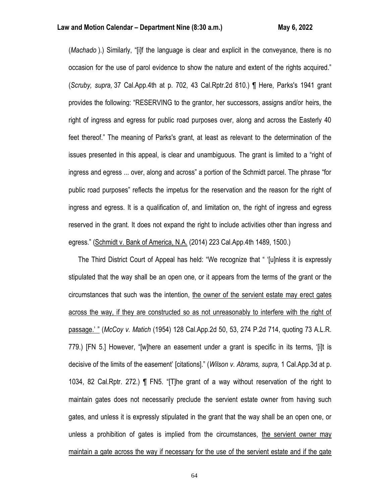(*Machado* ).) Similarly, "[i]f the language is clear and explicit in the conveyance, there is no occasion for the use of parol evidence to show the nature and extent of the rights acquired." (*Scruby, supra,* 37 Cal.App.4th at p. 702, 43 Cal.Rptr.2d 810.) ¶ Here, Parks's 1941 grant provides the following: "RESERVING to the grantor, her successors, assigns and/or heirs, the right of ingress and egress for public road purposes over, along and across the Easterly 40 feet thereof." The meaning of Parks's grant, at least as relevant to the determination of the issues presented in this appeal, is clear and unambiguous. The grant is limited to a "right of ingress and egress ... over, along and across" a portion of the Schmidt parcel. The phrase "for public road purposes" reflects the impetus for the reservation and the reason for the right of ingress and egress. It is a qualification of, and limitation on, the right of ingress and egress reserved in the grant. It does not expand the right to include activities other than ingress and egress." (Schmidt v. Bank of America, N.A. (2014) 223 Cal.App.4th 1489, 1500.)

The Third District Court of Appeal has held: "We recognize that " '[u]nless it is expressly stipulated that the way shall be an open one, or it appears from the terms of the grant or the circumstances that such was the intention, the owner of the servient estate may erect gates across the way, if they are constructed so as not unreasonably to interfere with the right of passage.' " (*McCoy v. Matich* (1954) 128 Cal.App.2d 50, 53, 274 P.2d 714, quoting 73 A.L.R. 779.) [FN 5.] However, "[w]here an easement under a grant is specific in its terms, '[i]t is decisive of the limits of the easement' [citations]." (*Wilson v. Abrams, supra,* 1 Cal.App.3d at p. 1034, 82 Cal.Rptr. 272.) ¶ FN5. "[T]he grant of a way without reservation of the right to maintain gates does not necessarily preclude the servient estate owner from having such gates, and unless it is expressly stipulated in the grant that the way shall be an open one, or unless a prohibition of gates is implied from the circumstances, the servient owner may maintain a gate across the way if necessary for the use of the servient estate and if the gate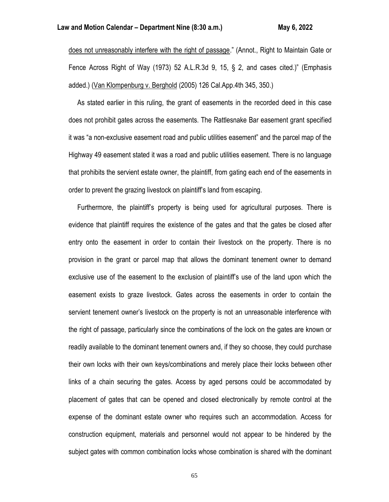does not unreasonably interfere with the right of passage." (Annot., Right to Maintain Gate or Fence Across Right of Way (1973) 52 A.L.R.3d 9, 15, § 2, and cases cited.)" (Emphasis added.) (Van Klompenburg v. Berghold (2005) 126 Cal.App.4th 345, 350.)

 As stated earlier in this ruling, the grant of easements in the recorded deed in this case does not prohibit gates across the easements. The Rattlesnake Bar easement grant specified it was "a non-exclusive easement road and public utilities easement" and the parcel map of the Highway 49 easement stated it was a road and public utilities easement. There is no language that prohibits the servient estate owner, the plaintiff, from gating each end of the easements in order to prevent the grazing livestock on plaintiff's land from escaping.

 Furthermore, the plaintiff's property is being used for agricultural purposes. There is evidence that plaintiff requires the existence of the gates and that the gates be closed after entry onto the easement in order to contain their livestock on the property. There is no provision in the grant or parcel map that allows the dominant tenement owner to demand exclusive use of the easement to the exclusion of plaintiff's use of the land upon which the easement exists to graze livestock. Gates across the easements in order to contain the servient tenement owner's livestock on the property is not an unreasonable interference with the right of passage, particularly since the combinations of the lock on the gates are known or readily available to the dominant tenement owners and, if they so choose, they could purchase their own locks with their own keys/combinations and merely place their locks between other links of a chain securing the gates. Access by aged persons could be accommodated by placement of gates that can be opened and closed electronically by remote control at the expense of the dominant estate owner who requires such an accommodation. Access for construction equipment, materials and personnel would not appear to be hindered by the subject gates with common combination locks whose combination is shared with the dominant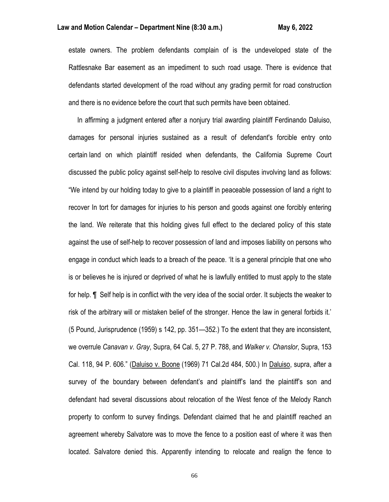# **Law and Motion Calendar – Department Nine (8:30 a.m.) May 6, 2022**

estate owners. The problem defendants complain of is the undeveloped state of the Rattlesnake Bar easement as an impediment to such road usage. There is evidence that defendants started development of the road without any grading permit for road construction and there is no evidence before the court that such permits have been obtained.

 In affirming a judgment entered after a nonjury trial awarding plaintiff Ferdinando Daluiso, damages for personal injuries sustained as a result of defendant's forcible entry onto certain land on which plaintiff resided when defendants, the California Supreme Court discussed the public policy against self-help to resolve civil disputes involving land as follows: "We intend by our holding today to give to a plaintiff in peaceable possession of land a right to recover In tort for damages for injuries to his person and goods against one forcibly entering the land. We reiterate that this holding gives full effect to the declared policy of this state against the use of self-help to recover possession of land and imposes liability on persons who engage in conduct which leads to a breach of the peace. 'It is a general principle that one who is or believes he is injured or deprived of what he is lawfully entitled to must apply to the state for help. ¶ Self help is in conflict with the very idea of the social order. It subjects the weaker to risk of the arbitrary will or mistaken belief of the stronger. Hence the law in general forbids it.' (5 Pound, Jurisprudence (1959) s 142, pp. 351—352.) To the extent that they are inconsistent, we overrule *Canavan v. Gray*, Supra, 64 Cal. 5, 27 P. 788, and *Walker v. Chanslor*, Supra, 153 Cal. 118, 94 P. 606." (Daluiso v. Boone (1969) 71 Cal.2d 484, 500.) In Daluiso, supra, after a survey of the boundary between defendant's and plaintiff's land the plaintiff's son and defendant had several discussions about relocation of the West fence of the Melody Ranch property to conform to survey findings. Defendant claimed that he and plaintiff reached an agreement whereby Salvatore was to move the fence to a position east of where it was then located. Salvatore denied this. Apparently intending to relocate and realign the fence to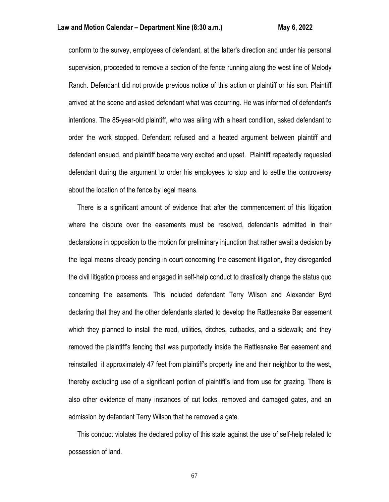conform to the survey, employees of defendant, at the latter's direction and under his personal supervision, proceeded to remove a section of the fence running along the west line of Melody Ranch. Defendant did not provide previous notice of this action or plaintiff or his son. Plaintiff arrived at the scene and asked defendant what was occurring. He was informed of defendant's intentions. The 85-year-old plaintiff, who was ailing with a heart condition, asked defendant to order the work stopped. Defendant refused and a heated argument between plaintiff and defendant ensued, and plaintiff became very excited and upset. Plaintiff repeatedly requested defendant during the argument to order his employees to stop and to settle the controversy about the location of the fence by legal means.

 There is a significant amount of evidence that after the commencement of this litigation where the dispute over the easements must be resolved, defendants admitted in their declarations in opposition to the motion for preliminary injunction that rather await a decision by the legal means already pending in court concerning the easement litigation, they disregarded the civil litigation process and engaged in self-help conduct to drastically change the status quo concerning the easements. This included defendant Terry Wilson and Alexander Byrd declaring that they and the other defendants started to develop the Rattlesnake Bar easement which they planned to install the road, utilities, ditches, cutbacks, and a sidewalk; and they removed the plaintiff's fencing that was purportedly inside the Rattlesnake Bar easement and reinstalled it approximately 47 feet from plaintiff's property line and their neighbor to the west, thereby excluding use of a significant portion of plaintiff's land from use for grazing. There is also other evidence of many instances of cut locks, removed and damaged gates, and an admission by defendant Terry Wilson that he removed a gate.

 This conduct violates the declared policy of this state against the use of self-help related to possession of land.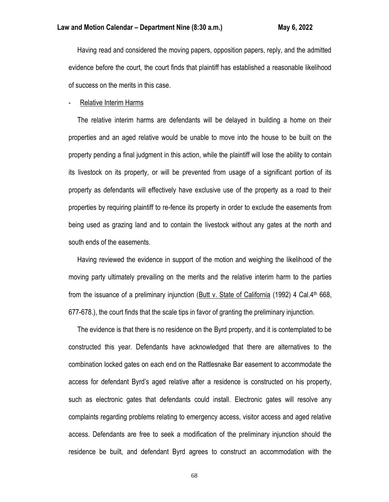Having read and considered the moving papers, opposition papers, reply, and the admitted evidence before the court, the court finds that plaintiff has established a reasonable likelihood of success on the merits in this case.

#### Relative Interim Harms

 The relative interim harms are defendants will be delayed in building a home on their properties and an aged relative would be unable to move into the house to be built on the property pending a final judgment in this action, while the plaintiff will lose the ability to contain its livestock on its property, or will be prevented from usage of a significant portion of its property as defendants will effectively have exclusive use of the property as a road to their properties by requiring plaintiff to re-fence its property in order to exclude the easements from being used as grazing land and to contain the livestock without any gates at the north and south ends of the easements.

 Having reviewed the evidence in support of the motion and weighing the likelihood of the moving party ultimately prevailing on the merits and the relative interim harm to the parties from the issuance of a preliminary injunction (Butt v. State of California (1992) 4 Cal.4th 668, 677-678.), the court finds that the scale tips in favor of granting the preliminary injunction.

 The evidence is that there is no residence on the Byrd property, and it is contemplated to be constructed this year. Defendants have acknowledged that there are alternatives to the combination locked gates on each end on the Rattlesnake Bar easement to accommodate the access for defendant Byrd's aged relative after a residence is constructed on his property, such as electronic gates that defendants could install. Electronic gates will resolve any complaints regarding problems relating to emergency access, visitor access and aged relative access. Defendants are free to seek a modification of the preliminary injunction should the residence be built, and defendant Byrd agrees to construct an accommodation with the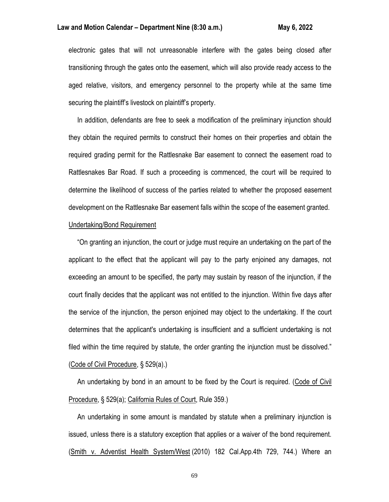electronic gates that will not unreasonable interfere with the gates being closed after transitioning through the gates onto the easement, which will also provide ready access to the aged relative, visitors, and emergency personnel to the property while at the same time securing the plaintiff's livestock on plaintiff's property.

 In addition, defendants are free to seek a modification of the preliminary injunction should they obtain the required permits to construct their homes on their properties and obtain the required grading permit for the Rattlesnake Bar easement to connect the easement road to Rattlesnakes Bar Road. If such a proceeding is commenced, the court will be required to determine the likelihood of success of the parties related to whether the proposed easement development on the Rattlesnake Bar easement falls within the scope of the easement granted.

# Undertaking/Bond Requirement

 "On granting an injunction, the court or judge must require an undertaking on the part of the applicant to the effect that the applicant will pay to the party enjoined any damages, not exceeding an amount to be specified, the party may sustain by reason of the injunction, if the court finally decides that the applicant was not entitled to the injunction. Within five days after the service of the injunction, the person enjoined may object to the undertaking. If the court determines that the applicant's undertaking is insufficient and a sufficient undertaking is not filed within the time required by statute, the order granting the injunction must be dissolved." (Code of Civil Procedure, § 529(a).)

 An undertaking by bond in an amount to be fixed by the Court is required. (Code of Civil Procedure, § 529(a); California Rules of Court, Rule 359.)

 An undertaking in some amount is mandated by statute when a preliminary injunction is issued, unless there is a statutory exception that applies or a waiver of the bond requirement. (Smith v. Adventist Health System/West (2010) 182 Cal.App.4th 729, 744.) Where an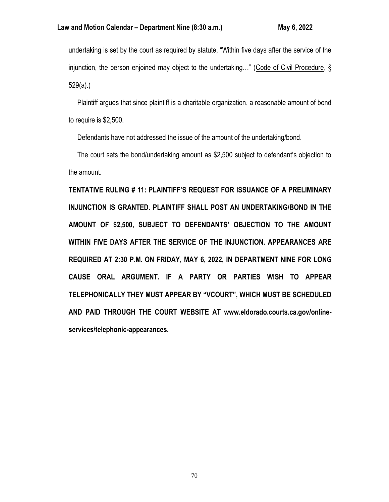undertaking is set by the court as required by statute, "Within five days after the service of the injunction, the person enjoined may object to the undertaking…" (Code of Civil Procedure, § 529(a).)

 Plaintiff argues that since plaintiff is a charitable organization, a reasonable amount of bond to require is \$2,500.

Defendants have not addressed the issue of the amount of the undertaking/bond.

 The court sets the bond/undertaking amount as \$2,500 subject to defendant's objection to the amount.

**TENTATIVE RULING # 11: PLAINTIFF'S REQUEST FOR ISSUANCE OF A PRELIMINARY INJUNCTION IS GRANTED. PLAINTIFF SHALL POST AN UNDERTAKING/BOND IN THE AMOUNT OF \$2,500, SUBJECT TO DEFENDANTS' OBJECTION TO THE AMOUNT WITHIN FIVE DAYS AFTER THE SERVICE OF THE INJUNCTION. APPEARANCES ARE REQUIRED AT 2:30 P.M. ON FRIDAY, MAY 6, 2022, IN DEPARTMENT NINE FOR LONG CAUSE ORAL ARGUMENT. IF A PARTY OR PARTIES WISH TO APPEAR TELEPHONICALLY THEY MUST APPEAR BY "VCOURT", WHICH MUST BE SCHEDULED AND PAID THROUGH THE COURT WEBSITE AT www.eldorado.courts.ca.gov/onlineservices/telephonic-appearances.**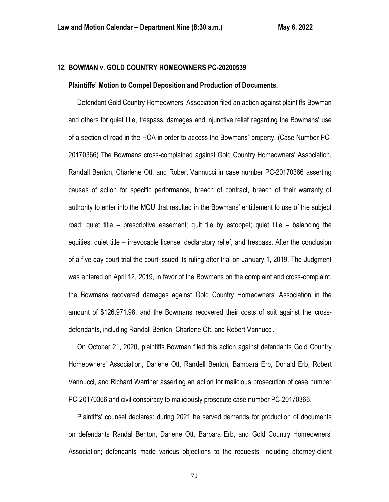# **12. BOWMAN v. GOLD COUNTRY HOMEOWNERS PC-20200539**

#### **Plaintiffs' Motion to Compel Deposition and Production of Documents.**

 Defendant Gold Country Homeowners' Association filed an action against plaintiffs Bowman and others for quiet title, trespass, damages and injunctive relief regarding the Bowmans' use of a section of road in the HOA in order to access the Bowmans' property. (Case Number PC-20170366) The Bowmans cross-complained against Gold Country Homeowners' Association, Randall Benton, Charlene Ott, and Robert Vannucci in case number PC-20170366 asserting causes of action for specific performance, breach of contract, breach of their warranty of authority to enter into the MOU that resulted in the Bowmans' entitlement to use of the subject road; quiet title – prescriptive easement; quit tile by estoppel; quiet title – balancing the equities; quiet title – irrevocable license; declaratory relief, and trespass. After the conclusion of a five-day court trial the court issued its ruling after trial on January 1, 2019. The Judgment was entered on April 12, 2019, in favor of the Bowmans on the complaint and cross-complaint, the Bowmans recovered damages against Gold Country Homeowners' Association in the amount of \$126,971.98, and the Bowmans recovered their costs of suit against the crossdefendants, including Randall Benton, Charlene Ott, and Robert Vannucci.

 On October 21, 2020, plaintiffs Bowman filed this action against defendants Gold Country Homeowners' Association, Darlene Ott, Randell Benton, Bambara Erb, Donald Erb, Robert Vannucci, and Richard Warriner asserting an action for malicious prosecution of case number PC-20170366 and civil conspiracy to maliciously prosecute case number PC-20170366.

 Plaintiffs' counsel declares: during 2021 he served demands for production of documents on defendants Randal Benton, Darlene Ott, Barbara Erb, and Gold Country Homeowners' Association; defendants made various objections to the requests, including attorney-client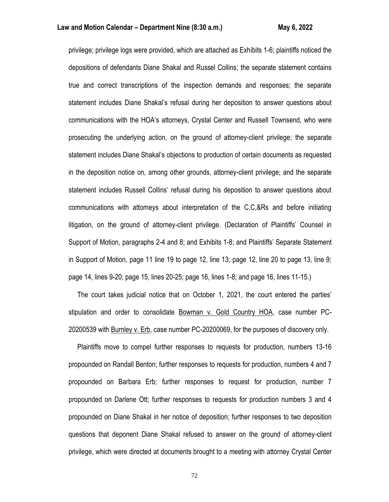privilege; privilege logs were provided, which are attached as Exhibits 1-6; plaintiffs noticed the depositions of defendants Diane Shakal and Russel Collins; the separate statement contains true and correct transcriptions of the inspection demands and responses; the separate statement includes Diane Shakal's refusal during her deposition to answer questions about communications with the HOA's attorneys, Crystal Center and Russell Townsend, who were prosecuting the underlying action, on the ground of attorney-client privilege; the separate statement includes Diane Shakal's objections to production of certain documents as requested in the deposition notice on, among other grounds, attorney-client privilege; and the separate statement includes Russell Collins' refusal during his deposition to answer questions about communications with attorneys about interpretation of the C,C,&Rs and before initiating litigation, on the ground of attorney-client privilege. (Declaration of Plaintiffs' Counsel in Support of Motion, paragraphs 2-4 and 8; and Exhibits 1-8; and Plaintiffs' Separate Statement in Support of Motion, page 11 line 19 to page 12, line 13; page 12, line 20 to page 13, line 9; page 14, lines 9-20; page 15, lines 20-25; page 16, lines 1-8; and page 16, lines 11-15.)

 The court takes judicial notice that on October 1, 2021, the court entered the parties' stipulation and order to consolidate Bowman v. Gold Country HOA, case number PC-20200539 with Burnley v. Erb, case number PC-20200069, for the purposes of discovery only.

 Plaintiffs move to compel further responses to requests for production, numbers 13-16 propounded on Randall Benton; further responses to requests for production, numbers 4 and 7 propounded on Barbara Erb; further responses to request for production, number 7 propounded on Darlene Ott; further responses to requests for production numbers 3 and 4 propounded on Diane Shakal in her notice of deposition; further responses to two deposition questions that deponent Diane Shakal refused to answer on the ground of attorney-client privilege, which were directed at documents brought to a meeting with attorney Crystal Center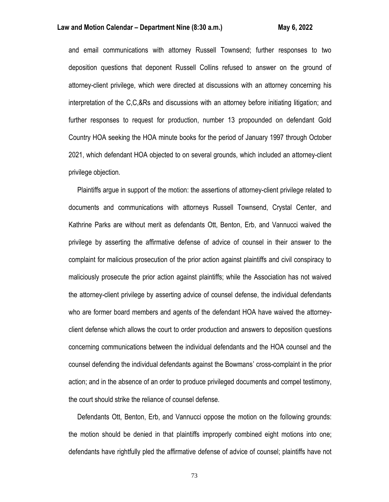## **Law and Motion Calendar – Department Nine (8:30 a.m.) May 6, 2022**

and email communications with attorney Russell Townsend; further responses to two deposition questions that deponent Russell Collins refused to answer on the ground of attorney-client privilege, which were directed at discussions with an attorney concerning his interpretation of the C,C,&Rs and discussions with an attorney before initiating litigation; and further responses to request for production, number 13 propounded on defendant Gold Country HOA seeking the HOA minute books for the period of January 1997 through October 2021, which defendant HOA objected to on several grounds, which included an attorney-client privilege objection.

 Plaintiffs argue in support of the motion: the assertions of attorney-client privilege related to documents and communications with attorneys Russell Townsend, Crystal Center, and Kathrine Parks are without merit as defendants Ott, Benton, Erb, and Vannucci waived the privilege by asserting the affirmative defense of advice of counsel in their answer to the complaint for malicious prosecution of the prior action against plaintiffs and civil conspiracy to maliciously prosecute the prior action against plaintiffs; while the Association has not waived the attorney-client privilege by asserting advice of counsel defense, the individual defendants who are former board members and agents of the defendant HOA have waived the attorneyclient defense which allows the court to order production and answers to deposition questions concerning communications between the individual defendants and the HOA counsel and the counsel defending the individual defendants against the Bowmans' cross-complaint in the prior action; and in the absence of an order to produce privileged documents and compel testimony, the court should strike the reliance of counsel defense.

 Defendants Ott, Benton, Erb, and Vannucci oppose the motion on the following grounds: the motion should be denied in that plaintiffs improperly combined eight motions into one; defendants have rightfully pled the affirmative defense of advice of counsel; plaintiffs have not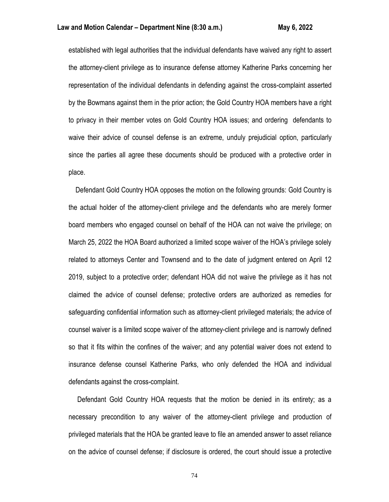established with legal authorities that the individual defendants have waived any right to assert the attorney-client privilege as to insurance defense attorney Katherine Parks concerning her representation of the individual defendants in defending against the cross-complaint asserted by the Bowmans against them in the prior action; the Gold Country HOA members have a right to privacy in their member votes on Gold Country HOA issues; and ordering defendants to waive their advice of counsel defense is an extreme, unduly prejudicial option, particularly since the parties all agree these documents should be produced with a protective order in place.

 Defendant Gold Country HOA opposes the motion on the following grounds: Gold Country is the actual holder of the attorney-client privilege and the defendants who are merely former board members who engaged counsel on behalf of the HOA can not waive the privilege; on March 25, 2022 the HOA Board authorized a limited scope waiver of the HOA's privilege solely related to attorneys Center and Townsend and to the date of judgment entered on April 12 2019, subject to a protective order; defendant HOA did not waive the privilege as it has not claimed the advice of counsel defense; protective orders are authorized as remedies for safeguarding confidential information such as attorney-client privileged materials; the advice of counsel waiver is a limited scope waiver of the attorney-client privilege and is narrowly defined so that it fits within the confines of the waiver; and any potential waiver does not extend to insurance defense counsel Katherine Parks, who only defended the HOA and individual defendants against the cross-complaint.

 Defendant Gold Country HOA requests that the motion be denied in its entirety; as a necessary precondition to any waiver of the attorney-client privilege and production of privileged materials that the HOA be granted leave to file an amended answer to asset reliance on the advice of counsel defense; if disclosure is ordered, the court should issue a protective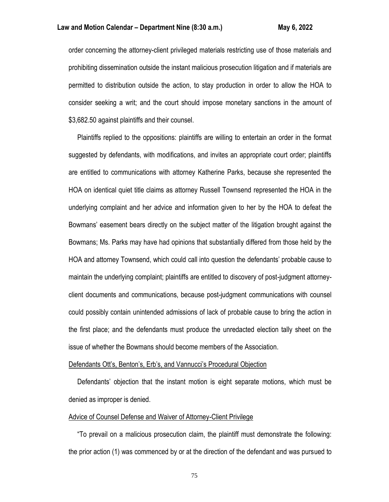order concerning the attorney-client privileged materials restricting use of those materials and prohibiting dissemination outside the instant malicious prosecution litigation and if materials are permitted to distribution outside the action, to stay production in order to allow the HOA to consider seeking a writ; and the court should impose monetary sanctions in the amount of \$3,682.50 against plaintiffs and their counsel.

 Plaintiffs replied to the oppositions: plaintiffs are willing to entertain an order in the format suggested by defendants, with modifications, and invites an appropriate court order; plaintiffs are entitled to communications with attorney Katherine Parks, because she represented the HOA on identical quiet title claims as attorney Russell Townsend represented the HOA in the underlying complaint and her advice and information given to her by the HOA to defeat the Bowmans' easement bears directly on the subject matter of the litigation brought against the Bowmans; Ms. Parks may have had opinions that substantially differed from those held by the HOA and attorney Townsend, which could call into question the defendants' probable cause to maintain the underlying complaint; plaintiffs are entitled to discovery of post-judgment attorneyclient documents and communications, because post-judgment communications with counsel could possibly contain unintended admissions of lack of probable cause to bring the action in the first place; and the defendants must produce the unredacted election tally sheet on the issue of whether the Bowmans should become members of the Association.

#### Defendants Ott's, Benton's, Erb's, and Vannucci's Procedural Objection

 Defendants' objection that the instant motion is eight separate motions, which must be denied as improper is denied.

#### Advice of Counsel Defense and Waiver of Attorney-Client Privilege

 "To prevail on a malicious prosecution claim, the plaintiff must demonstrate the following: the prior action (1) was commenced by or at the direction of the defendant and was pursued to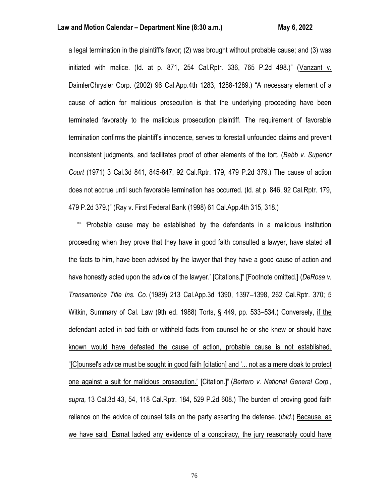## **Law and Motion Calendar – Department Nine (8:30 a.m.) May 6, 2022**

a legal termination in the plaintiff's favor; (2) was brought without probable cause; and (3) was initiated with malice. (Id. at p. 871, 254 Cal.Rptr. 336, 765 P.2d 498.)" (Vanzant v. DaimlerChrysler Corp. (2002) 96 Cal.App.4th 1283, 1288-1289.) "A necessary element of a cause of action for malicious prosecution is that the underlying proceeding have been terminated favorably to the malicious prosecution plaintiff. The requirement of favorable termination confirms the plaintiff's innocence, serves to forestall unfounded claims and prevent inconsistent judgments, and facilitates proof of other elements of the tort. (*Babb v. Superior Court* (1971) 3 Cal.3d 841, 845-847, 92 Cal.Rptr. 179, 479 P.2d 379.) The cause of action does not accrue until such favorable termination has occurred. (Id. at p. 846, 92 Cal.Rptr. 179, 479 P.2d 379.)" (Ray v. First Federal Bank (1998) 61 Cal.App.4th 315, 318.)

 "" 'Probable cause may be established by the defendants in a malicious institution proceeding when they prove that they have in good faith consulted a lawyer, have stated all the facts to him, have been advised by the lawyer that they have a good cause of action and have honestly acted upon the advice of the lawyer.' [Citations.]" [Footnote omitted.] (*DeRosa v. Transamerica Title Ins. Co.* (1989) 213 Cal.App.3d 1390, 1397–1398, 262 Cal.Rptr. 370; 5 Witkin, Summary of Cal. Law (9th ed. 1988) Torts, § 449, pp. 533–534.) Conversely, if the defendant acted in bad faith or withheld facts from counsel he or she knew or should have known would have defeated the cause of action, probable cause is not established. "[C]ounsel's advice must be sought in good faith [citation] and '... not as a mere cloak to protect one against a suit for malicious prosecution.' [Citation.]" (*Bertero v. National General Corp., supra,* 13 Cal.3d 43, 54, 118 Cal.Rptr. 184, 529 P.2d 608.) The burden of proving good faith reliance on the advice of counsel falls on the party asserting the defense. (*Ibid.*) Because, as we have said, Esmat lacked any evidence of a conspiracy, the jury reasonably could have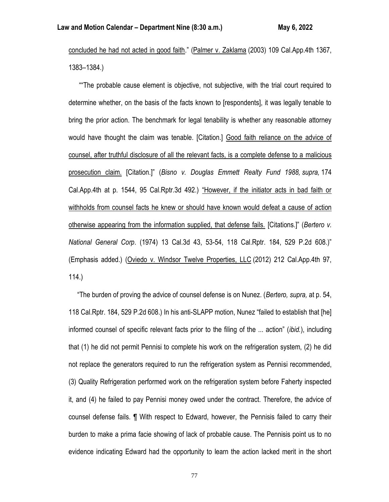concluded he had not acted in good faith." (Palmer v. Zaklama (2003) 109 Cal.App.4th 1367, 1383–1384.)

 ""The probable cause element is objective, not subjective, with the trial court required to determine whether, on the basis of the facts known to [respondents], it was legally tenable to bring the prior action. The benchmark for legal tenability is whether any reasonable attorney would have thought the claim was tenable. [Citation.] Good faith reliance on the advice of counsel, after truthful disclosure of all the relevant facts, is a complete defense to a malicious prosecution claim. [Citation.]" (*Bisno v. Douglas Emmett Realty Fund 1988, supra,* 174 Cal.App.4th at p. 1544, 95 Cal.Rptr.3d 492.) "However, if the initiator acts in bad faith or withholds from counsel facts he knew or should have known would defeat a cause of action otherwise appearing from the information supplied, that defense fails. [Citations.]" (*Bertero v. National General Corp*. (1974) 13 Cal.3d 43, 53-54, 118 Cal.Rptr. 184, 529 P.2d 608.)" (Emphasis added.) (Oviedo v. Windsor Twelve Properties, LLC (2012) 212 Cal.App.4th 97, 114.)

 "The burden of proving the advice of counsel defense is on Nunez. (*Bertero, supra,* at p. 54, 118 Cal.Rptr. 184, 529 P.2d 608.) In his anti-SLAPP motion, Nunez "failed to establish that [he] informed counsel of specific relevant facts prior to the filing of the ... action" (*ibid.*), including that (1) he did not permit Pennisi to complete his work on the refrigeration system, (2) he did not replace the generators required to run the refrigeration system as Pennisi recommended, (3) Quality Refrigeration performed work on the refrigeration system before Faherty inspected it, and (4) he failed to pay Pennisi money owed under the contract. Therefore, the advice of counsel defense fails. ¶ With respect to Edward, however, the Pennisis failed to carry their burden to make a prima facie showing of lack of probable cause. The Pennisis point us to no evidence indicating Edward had the opportunity to learn the action lacked merit in the short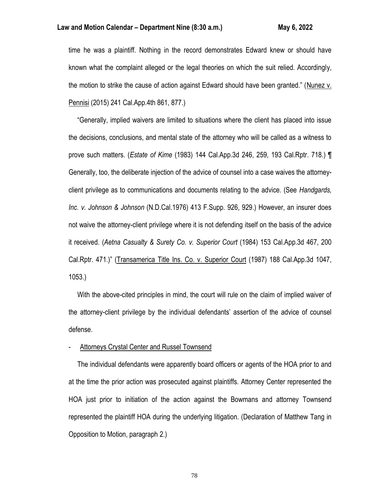time he was a plaintiff. Nothing in the record demonstrates Edward knew or should have known what the complaint alleged or the legal theories on which the suit relied. Accordingly, the motion to strike the cause of action against Edward should have been granted." (Nunez v. Pennisi (2015) 241 Cal.App.4th 861, 877.)

 "Generally, implied waivers are limited to situations where the client has placed into issue the decisions, conclusions, and mental state of the attorney who will be called as a witness to prove such matters. (*Estate of Kime* (1983) 144 Cal.App.3d 246, 259, 193 Cal.Rptr. 718.) ¶ Generally, too, the deliberate injection of the advice of counsel into a case waives the attorneyclient privilege as to communications and documents relating to the advice. (See *Handgards, Inc. v. Johnson & Johnson* (N.D.Cal.1976) 413 F.Supp. 926, 929.) However, an insurer does not waive the attorney-client privilege where it is not defending itself on the basis of the advice it received. (*Aetna Casualty & Surety Co. v. Superior Court* (1984) 153 Cal.App.3d 467, 200 Cal.Rptr. 471.)" (Transamerica Title Ins. Co. v. Superior Court (1987) 188 Cal.App.3d 1047, 1053.)

 With the above-cited principles in mind, the court will rule on the claim of implied waiver of the attorney-client privilege by the individual defendants' assertion of the advice of counsel defense.

# Attorneys Crystal Center and Russel Townsend

 The individual defendants were apparently board officers or agents of the HOA prior to and at the time the prior action was prosecuted against plaintiffs. Attorney Center represented the HOA just prior to initiation of the action against the Bowmans and attorney Townsend represented the plaintiff HOA during the underlying litigation. (Declaration of Matthew Tang in Opposition to Motion, paragraph 2.)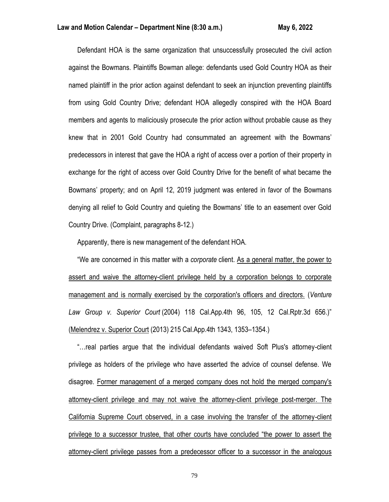Defendant HOA is the same organization that unsuccessfully prosecuted the civil action against the Bowmans. Plaintiffs Bowman allege: defendants used Gold Country HOA as their named plaintiff in the prior action against defendant to seek an injunction preventing plaintiffs from using Gold Country Drive; defendant HOA allegedly conspired with the HOA Board members and agents to maliciously prosecute the prior action without probable cause as they knew that in 2001 Gold Country had consummated an agreement with the Bowmans' predecessors in interest that gave the HOA a right of access over a portion of their property in exchange for the right of access over Gold Country Drive for the benefit of what became the Bowmans' property; and on April 12, 2019 judgment was entered in favor of the Bowmans denying all relief to Gold Country and quieting the Bowmans' title to an easement over Gold Country Drive. (Complaint, paragraphs 8-12.)

Apparently, there is new management of the defendant HOA.

 "We are concerned in this matter with a *corporate* client. As a general matter, the power to assert and waive the attorney-client privilege held by a corporation belongs to corporate management and is normally exercised by the corporation's officers and directors. (*Venture Law Group v. Superior Court* (2004) 118 Cal.App.4th 96, 105, 12 Cal.Rptr.3d 656.)" (Melendrez v. Superior Court (2013) 215 Cal.App.4th 1343, 1353–1354.)

 "…real parties argue that the individual defendants waived Soft Plus's attorney-client privilege as holders of the privilege who have asserted the advice of counsel defense. We disagree. Former management of a merged company does not hold the merged company's attorney-client privilege and may not waive the attorney-client privilege post-merger. The California Supreme Court observed, in a case involving the transfer of the attorney-client privilege to a successor trustee, that other courts have concluded "the power to assert the attorney-client privilege passes from a predecessor officer to a successor in the analogous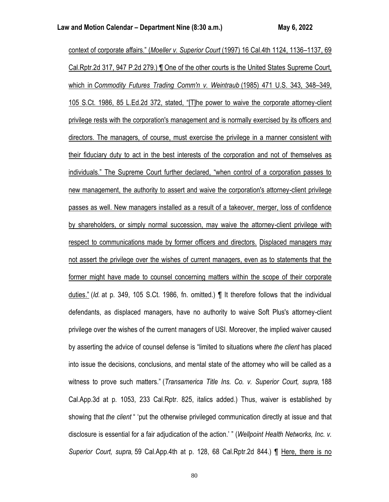context of corporate affairs." (*Moeller v. Superior Court* (1997) 16 Cal.4th 1124, 1136–1137, 69 Cal.Rptr.2d 317, 947 P.2d 279.) ¶ One of the other courts is the United States Supreme Court, which in *Commodity Futures Trading Comm'n v. Weintraub* (1985) 471 U.S. 343, 348–349, 105 S.Ct. 1986, 85 L.Ed.2d 372, stated, "[T]he power to waive the corporate attorney-client privilege rests with the corporation's management and is normally exercised by its officers and directors. The managers, of course, must exercise the privilege in a manner consistent with their fiduciary duty to act in the best interests of the corporation and not of themselves as individuals." The Supreme Court further declared, "when control of a corporation passes to new management, the authority to assert and waive the corporation's attorney-client privilege passes as well. New managers installed as a result of a takeover, merger, loss of confidence by shareholders, or simply normal succession, may waive the attorney-client privilege with respect to communications made by former officers and directors. Displaced managers may not assert the privilege over the wishes of current managers, even as to statements that the former might have made to counsel concerning matters within the scope of their corporate duties." (*Id.* at p. 349, 105 S.Ct. 1986, fn. omitted.) ¶ It therefore follows that the individual defendants, as displaced managers, have no authority to waive Soft Plus's attorney-client privilege over the wishes of the current managers of USI. Moreover, the implied waiver caused by asserting the advice of counsel defense is "limited to situations where *the client* has placed into issue the decisions, conclusions, and mental state of the attorney who will be called as a witness to prove such matters." (*Transamerica Title Ins. Co. v. Superior Court, supra,* 188 Cal.App.3d at p. 1053, 233 Cal.Rptr. 825, italics added.) Thus, waiver is established by showing that *the client* " 'put the otherwise privileged communication directly at issue and that disclosure is essential for a fair adjudication of the action.' " (*Wellpoint Health Networks, Inc. v. Superior Court, supra,* 59 Cal.App.4th at p. 128, 68 Cal.Rptr.2d 844.) ¶ Here, there is no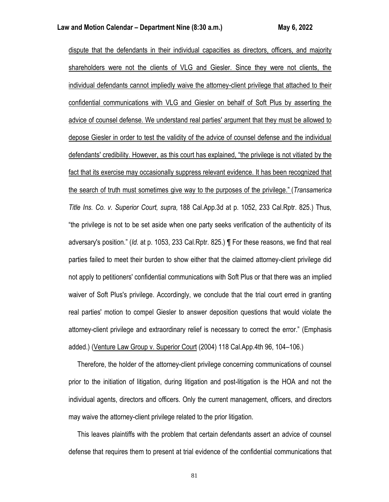dispute that the defendants in their individual capacities as directors, officers, and majority shareholders were not the clients of VLG and Giesler. Since they were not clients, the individual defendants cannot impliedly waive the attorney-client privilege that attached to their confidential communications with VLG and Giesler on behalf of Soft Plus by asserting the advice of counsel defense. We understand real parties' argument that they must be allowed to depose Giesler in order to test the validity of the advice of counsel defense and the individual defendants' credibility. However, as this court has explained, "the privilege is not vitiated by the fact that its exercise may occasionally suppress relevant evidence. It has been recognized that the search of truth must sometimes give way to the purposes of the privilege." (*Transamerica Title Ins. Co. v. Superior Court, supra,* 188 Cal.App.3d at p. 1052, 233 Cal.Rptr. 825.) Thus, "the privilege is not to be set aside when one party seeks verification of the authenticity of its adversary's position." (*Id.* at p. 1053, 233 Cal.Rptr. 825.) ¶ For these reasons, we find that real parties failed to meet their burden to show either that the claimed attorney-client privilege did not apply to petitioners' confidential communications with Soft Plus or that there was an implied waiver of Soft Plus's privilege. Accordingly, we conclude that the trial court erred in granting real parties' motion to compel Giesler to answer deposition questions that would violate the attorney-client privilege and extraordinary relief is necessary to correct the error." (Emphasis added.) (Venture Law Group v. Superior Court (2004) 118 Cal.App.4th 96, 104–106.)

 Therefore, the holder of the attorney-client privilege concerning communications of counsel prior to the initiation of litigation, during litigation and post-litigation is the HOA and not the individual agents, directors and officers. Only the current management, officers, and directors may waive the attorney-client privilege related to the prior litigation.

 This leaves plaintiffs with the problem that certain defendants assert an advice of counsel defense that requires them to present at trial evidence of the confidential communications that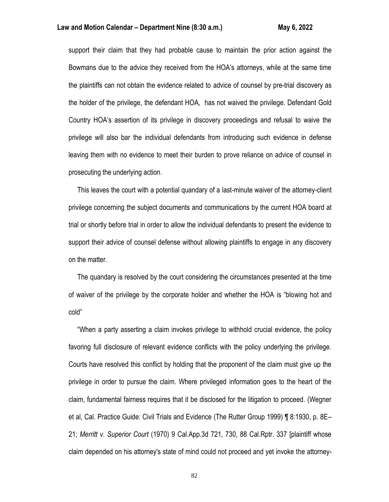### **Law and Motion Calendar – Department Nine (8:30 a.m.) May 6, 2022**

support their claim that they had probable cause to maintain the prior action against the Bowmans due to the advice they received from the HOA's attorneys, while at the same time the plaintiffs can not obtain the evidence related to advice of counsel by pre-trial discovery as the holder of the privilege, the defendant HOA, has not waived the privilege. Defendant Gold Country HOA's assertion of its privilege in discovery proceedings and refusal to waive the privilege will also bar the individual defendants from introducing such evidence in defense leaving them with no evidence to meet their burden to prove reliance on advice of counsel in prosecuting the underlying action.

 This leaves the court with a potential quandary of a last-minute waiver of the attorney-client privilege concerning the subject documents and communications by the current HOA board at trial or shortly before trial in order to allow the individual defendants to present the evidence to support their advice of counsel defense without allowing plaintiffs to engage in any discovery on the matter.

 The quandary is resolved by the court considering the circumstances presented at the time of waiver of the privilege by the corporate holder and whether the HOA is "blowing hot and cold"

 "When a party asserting a claim invokes privilege to withhold crucial evidence, the policy favoring full disclosure of relevant evidence conflicts with the policy underlying the privilege. Courts have resolved this conflict by holding that the proponent of the claim must give up the privilege in order to pursue the claim. Where privileged information goes to the heart of the claim, fundamental fairness requires that it be disclosed for the litigation to proceed. (Wegner et al, Cal. Practice Guide: Civil Trials and Evidence (The Rutter Group 1999) ¶ 8:1930, p. 8E– 21; *Merritt v. Superior Court* (1970) 9 Cal.App.3d 721, 730, 88 Cal.Rptr. 337 [plaintiff whose claim depended on his attorney's state of mind could not proceed and yet invoke the attorney-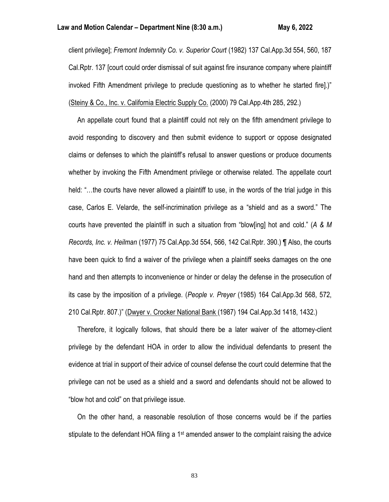client privilege]; *Fremont Indemnity Co. v. Superior Court* (1982) 137 Cal.App.3d 554, 560, 187 Cal.Rptr. 137 [court could order dismissal of suit against fire insurance company where plaintiff invoked Fifth Amendment privilege to preclude questioning as to whether he started fire].)" (Steiny & Co., Inc. v. California Electric Supply Co. (2000) 79 Cal.App.4th 285, 292.)

 An appellate court found that a plaintiff could not rely on the fifth amendment privilege to avoid responding to discovery and then submit evidence to support or oppose designated claims or defenses to which the plaintiff's refusal to answer questions or produce documents whether by invoking the Fifth Amendment privilege or otherwise related. The appellate court held: "…the courts have never allowed a plaintiff to use, in the words of the trial judge in this case, Carlos E. Velarde, the self-incrimination privilege as a "shield and as a sword." The courts have prevented the plaintiff in such a situation from "blow[ing] hot and cold." (*A & M Records, Inc. v. Heilman* (1977) 75 Cal.App.3d 554, 566, 142 Cal.Rptr. 390.) ¶ Also, the courts have been quick to find a waiver of the privilege when a plaintiff seeks damages on the one hand and then attempts to inconvenience or hinder or delay the defense in the prosecution of its case by the imposition of a privilege. (*People v. Preyer* (1985) 164 Cal.App.3d 568, 572, 210 Cal.Rptr. 807.)" (Dwyer v. Crocker National Bank (1987) 194 Cal.App.3d 1418, 1432.)

 Therefore, it logically follows, that should there be a later waiver of the attorney-client privilege by the defendant HOA in order to allow the individual defendants to present the evidence at trial in support of their advice of counsel defense the court could determine that the privilege can not be used as a shield and a sword and defendants should not be allowed to "blow hot and cold" on that privilege issue.

 On the other hand, a reasonable resolution of those concerns would be if the parties stipulate to the defendant HOA filing a  $1st$  amended answer to the complaint raising the advice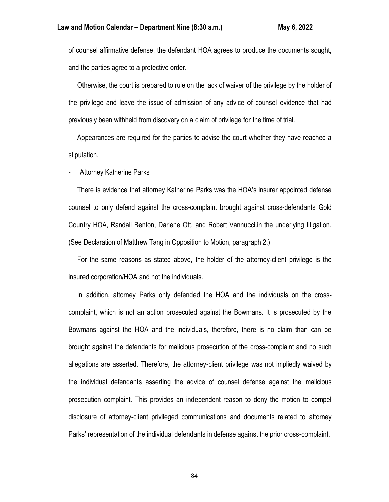of counsel affirmative defense, the defendant HOA agrees to produce the documents sought, and the parties agree to a protective order.

 Otherwise, the court is prepared to rule on the lack of waiver of the privilege by the holder of the privilege and leave the issue of admission of any advice of counsel evidence that had previously been withheld from discovery on a claim of privilege for the time of trial.

 Appearances are required for the parties to advise the court whether they have reached a stipulation.

## Attorney Katherine Parks

 There is evidence that attorney Katherine Parks was the HOA's insurer appointed defense counsel to only defend against the cross-complaint brought against cross-defendants Gold Country HOA, Randall Benton, Darlene Ott, and Robert Vannucci.in the underlying litigation. (See Declaration of Matthew Tang in Opposition to Motion, paragraph 2.)

 For the same reasons as stated above, the holder of the attorney-client privilege is the insured corporation/HOA and not the individuals.

 In addition, attorney Parks only defended the HOA and the individuals on the crosscomplaint, which is not an action prosecuted against the Bowmans. It is prosecuted by the Bowmans against the HOA and the individuals, therefore, there is no claim than can be brought against the defendants for malicious prosecution of the cross-complaint and no such allegations are asserted. Therefore, the attorney-client privilege was not impliedly waived by the individual defendants asserting the advice of counsel defense against the malicious prosecution complaint. This provides an independent reason to deny the motion to compel disclosure of attorney-client privileged communications and documents related to attorney Parks' representation of the individual defendants in defense against the prior cross-complaint.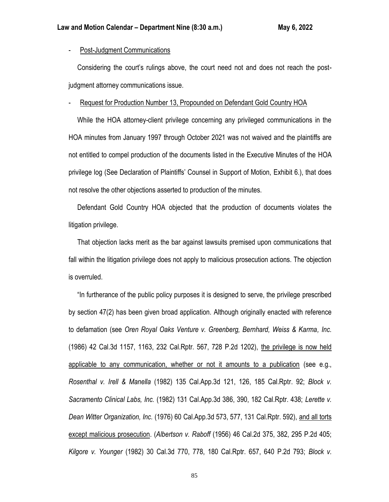# - Post-Judgment Communications

 Considering the court's rulings above, the court need not and does not reach the postjudgment attorney communications issue.

## Request for Production Number 13, Propounded on Defendant Gold Country HOA

 While the HOA attorney-client privilege concerning any privileged communications in the HOA minutes from January 1997 through October 2021 was not waived and the plaintiffs are not entitled to compel production of the documents listed in the Executive Minutes of the HOA privilege log (See Declaration of Plaintiffs' Counsel in Support of Motion, Exhibit 6.), that does not resolve the other objections asserted to production of the minutes.

 Defendant Gold Country HOA objected that the production of documents violates the litigation privilege.

 That objection lacks merit as the bar against lawsuits premised upon communications that fall within the litigation privilege does not apply to malicious prosecution actions. The objection is overruled.

 "In furtherance of the public policy purposes it is designed to serve, the privilege prescribed by section 47(2) has been given broad application. Although originally enacted with reference to defamation (see *Oren Royal Oaks Venture v. Greenberg, Bernhard, Weiss & Karma, Inc.* (1986) 42 Cal.3d 1157, 1163, 232 Cal.Rptr. 567, 728 P.2d 1202), the privilege is now held applicable to any communication, whether or not it amounts to a publication (see e.g., *Rosenthal v. Irell & Manella* (1982) 135 Cal.App.3d 121, 126, 185 Cal.Rptr. 92; *Block v. Sacramento Clinical Labs, Inc.* (1982) 131 Cal.App.3d 386, 390, 182 Cal.Rptr. 438; *Lerette v. Dean Witter Organization, Inc.* (1976) 60 Cal.App.3d 573, 577, 131 Cal.Rptr. 592), and all torts except malicious prosecution. (*Albertson v. Raboff* (1956) 46 Cal.2d 375, 382, 295 P.2d 405; *Kilgore v. Younger* (1982) 30 Cal.3d 770, 778, 180 Cal.Rptr. 657, 640 P.2d 793; *Block v.*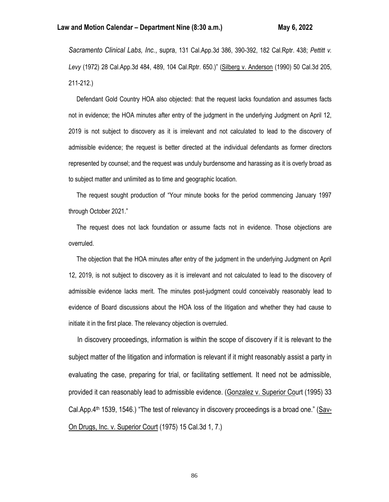*Sacramento Clinical Labs, Inc.*, supra, 131 Cal.App.3d 386, 390-392, 182 Cal.Rptr. 438; *Pettitt v. Levy* (1972) 28 Cal.App.3d 484, 489, 104 Cal.Rptr. 650.)" (Silberg v. Anderson (1990) 50 Cal.3d 205, 211-212.)

 Defendant Gold Country HOA also objected: that the request lacks foundation and assumes facts not in evidence; the HOA minutes after entry of the judgment in the underlying Judgment on April 12, 2019 is not subject to discovery as it is irrelevant and not calculated to lead to the discovery of admissible evidence; the request is better directed at the individual defendants as former directors represented by counsel; and the request was unduly burdensome and harassing as it is overly broad as to subject matter and unlimited as to time and geographic location.

 The request sought production of "Your minute books for the period commencing January 1997 through October 2021."

 The request does not lack foundation or assume facts not in evidence. Those objections are overruled.

 The objection that the HOA minutes after entry of the judgment in the underlying Judgment on April 12, 2019, is not subject to discovery as it is irrelevant and not calculated to lead to the discovery of admissible evidence lacks merit. The minutes post-judgment could conceivably reasonably lead to evidence of Board discussions about the HOA loss of the litigation and whether they had cause to initiate it in the first place. The relevancy objection is overruled.

 In discovery proceedings, information is within the scope of discovery if it is relevant to the subject matter of the litigation and information is relevant if it might reasonably assist a party in evaluating the case, preparing for trial, or facilitating settlement. It need not be admissible, provided it can reasonably lead to admissible evidence. (Gonzalez v. Superior Court (1995) 33 Cal.App.4th 1539, 1546.) "The test of relevancy in discovery proceedings is a broad one." (Sav-On Drugs, Inc. v. Superior Court (1975) 15 Cal.3d 1, 7.)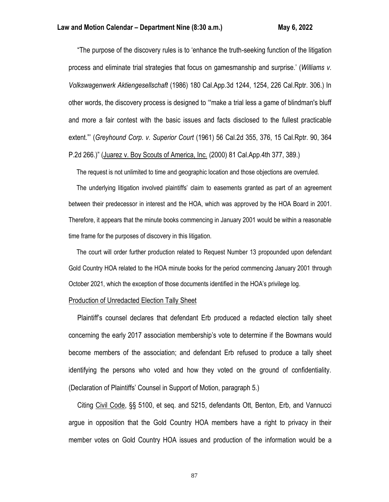"The purpose of the discovery rules is to 'enhance the truth-seeking function of the litigation process and eliminate trial strategies that focus on gamesmanship and surprise.' (*Williams v. Volkswagenwerk Aktiengesellschaft* (1986) 180 Cal.App.3d 1244, 1254, 226 Cal.Rptr. 306.) In other words, the discovery process is designed to '"make a trial less a game of blindman's bluff and more a fair contest with the basic issues and facts disclosed to the fullest practicable extent."' (*Greyhound Corp. v. Superior Court* (1961) 56 Cal.2d 355, 376, 15 Cal.Rptr. 90, 364 P.2d 266.)" (Juarez v. Boy Scouts of America, Inc. (2000) 81 Cal.App.4th 377, 389.)

The request is not unlimited to time and geographic location and those objections are overruled.

 The underlying litigation involved plaintiffs' claim to easements granted as part of an agreement between their predecessor in interest and the HOA, which was approved by the HOA Board in 2001. Therefore, it appears that the minute books commencing in January 2001 would be within a reasonable time frame for the purposes of discovery in this litigation.

 The court will order further production related to Request Number 13 propounded upon defendant Gold Country HOA related to the HOA minute books for the period commencing January 2001 through October 2021, which the exception of those documents identified in the HOA's privilege log.

## Production of Unredacted Election Tally Sheet

 Plaintiff's counsel declares that defendant Erb produced a redacted election tally sheet concerning the early 2017 association membership's vote to determine if the Bowmans would become members of the association; and defendant Erb refused to produce a tally sheet identifying the persons who voted and how they voted on the ground of confidentiality. (Declaration of Plaintiffs' Counsel in Support of Motion, paragraph 5.)

 Citing Civil Code, §§ 5100, et seq. and 5215, defendants Ott, Benton, Erb, and Vannucci argue in opposition that the Gold Country HOA members have a right to privacy in their member votes on Gold Country HOA issues and production of the information would be a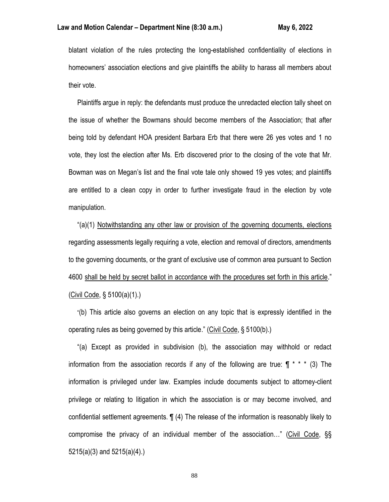blatant violation of the rules protecting the long-established confidentiality of elections in homeowners' association elections and give plaintiffs the ability to harass all members about their vote.

 Plaintiffs argue in reply: the defendants must produce the unredacted election tally sheet on the issue of whether the Bowmans should become members of the Association; that after being told by defendant HOA president Barbara Erb that there were 26 yes votes and 1 no vote, they lost the election after Ms. Erb discovered prior to the closing of the vote that Mr. Bowman was on Megan's list and the final vote tale only showed 19 yes votes; and plaintiffs are entitled to a clean copy in order to further investigate fraud in the election by vote manipulation.

 "(a)(1) Notwithstanding any other law or provision of the governing documents, elections regarding assessments legally requiring a vote, election and removal of directors, amendments to the governing documents, or the grant of exclusive use of common area pursuant to Section 4600 shall be held by secret ballot in accordance with the procedures set forth in this article." (Civil Code, § 5100(a)(1).)

 "(b) This article also governs an election on any topic that is expressly identified in the operating rules as being governed by this article." (Civil Code, § 5100(b).)

 "(a) Except as provided in subdivision (b), the association may withhold or redact information from the association records if any of the following are true:  $\P$  \* \* \* (3) The information is privileged under law. Examples include documents subject to attorney-client privilege or relating to litigation in which the association is or may become involved, and confidential settlement agreements. ¶ (4) The release of the information is reasonably likely to compromise the privacy of an individual member of the association…" (Civil Code, §§ 5215(a)(3) and 5215(a)(4).)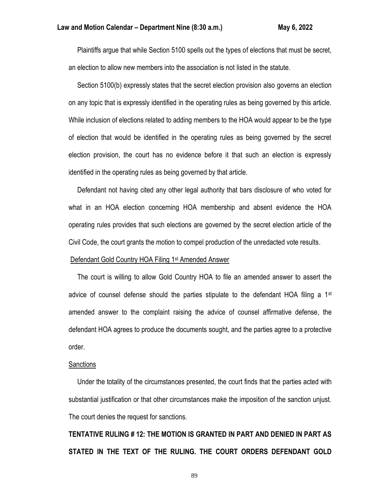Plaintiffs argue that while Section 5100 spells out the types of elections that must be secret, an election to allow new members into the association is not listed in the statute.

 Section 5100(b) expressly states that the secret election provision also governs an election on any topic that is expressly identified in the operating rules as being governed by this article. While inclusion of elections related to adding members to the HOA would appear to be the type of election that would be identified in the operating rules as being governed by the secret election provision, the court has no evidence before it that such an election is expressly identified in the operating rules as being governed by that article.

 Defendant not having cited any other legal authority that bars disclosure of who voted for what in an HOA election concerning HOA membership and absent evidence the HOA operating rules provides that such elections are governed by the secret election article of the Civil Code, the court grants the motion to compel production of the unredacted vote results.

#### Defendant Gold Country HOA Filing 1st Amended Answer

 The court is willing to allow Gold Country HOA to file an amended answer to assert the advice of counsel defense should the parties stipulate to the defendant HOA filing a  $1<sup>st</sup>$ amended answer to the complaint raising the advice of counsel affirmative defense, the defendant HOA agrees to produce the documents sought, and the parties agree to a protective order.

# **Sanctions**

 Under the totality of the circumstances presented, the court finds that the parties acted with substantial justification or that other circumstances make the imposition of the sanction unjust. The court denies the request for sanctions.

**TENTATIVE RULING # 12: THE MOTION IS GRANTED IN PART AND DENIED IN PART AS STATED IN THE TEXT OF THE RULING. THE COURT ORDERS DEFENDANT GOLD**